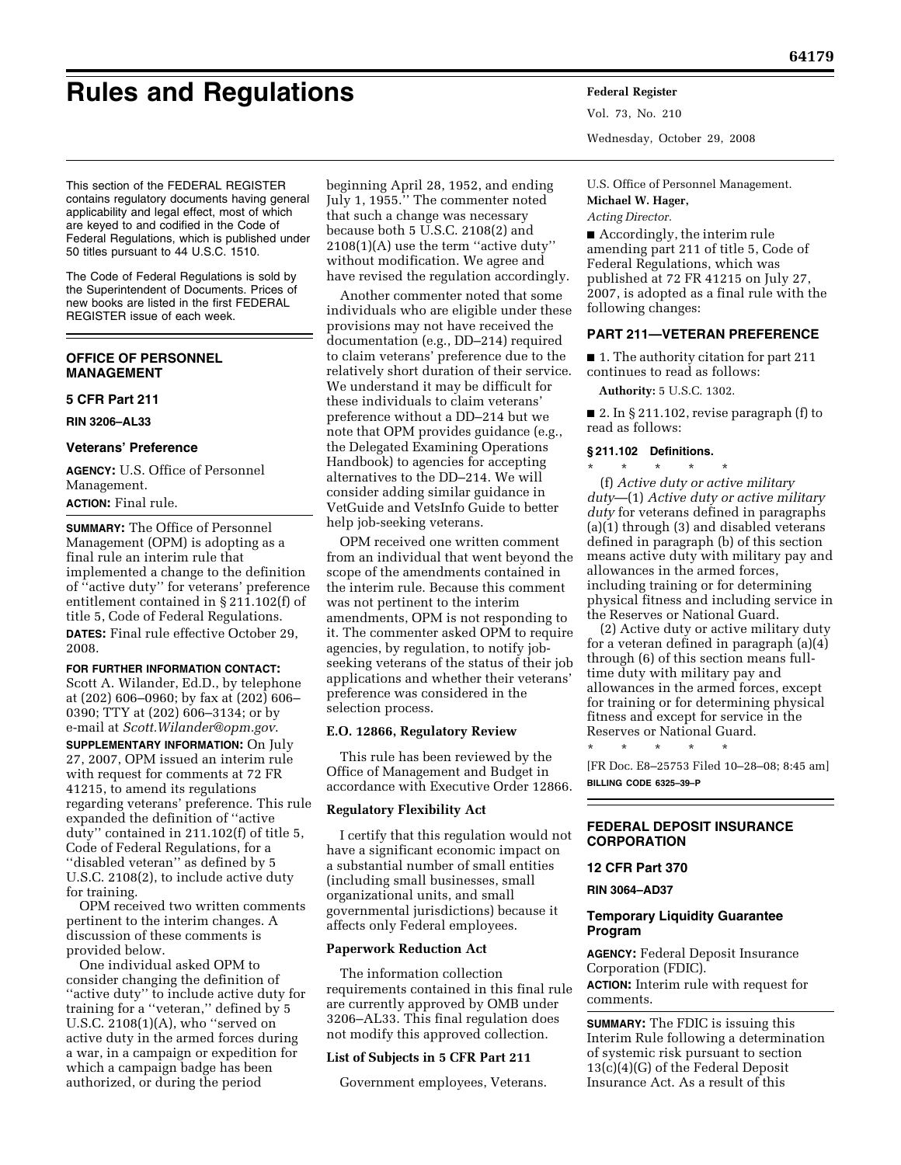# **Rules and Regulations Federal Register**

This section of the FEDERAL REGISTER contains regulatory documents having general applicability and legal effect, most of which are keyed to and codified in the Code of Federal Regulations, which is published under 50 titles pursuant to 44 U.S.C. 1510.

The Code of Federal Regulations is sold by the Superintendent of Documents. Prices of new books are listed in the first FEDERAL REGISTER issue of each week.

# **OFFICE OF PERSONNEL MANAGEMENT**

# **5 CFR Part 211**

**RIN 3206–AL33** 

### **Veterans' Preference**

**AGENCY:** U.S. Office of Personnel Management.

# **ACTION:** Final rule.

**SUMMARY:** The Office of Personnel Management (OPM) is adopting as a final rule an interim rule that implemented a change to the definition of ''active duty'' for veterans' preference entitlement contained in § 211.102(f) of title 5, Code of Federal Regulations. **DATES:** Final rule effective October 29, 2008.

**FOR FURTHER INFORMATION CONTACT:** 

Scott A. Wilander, Ed.D., by telephone at (202) 606–0960; by fax at (202) 606– 0390; TTY at (202) 606–3134; or by e-mail at *[Scott.Wilander@opm.gov](mailto:Scott.Wilander@opm.gov)*.

**SUPPLEMENTARY INFORMATION:** On July 27, 2007, OPM issued an interim rule with request for comments at 72 FR 41215, to amend its regulations regarding veterans' preference. This rule expanded the definition of ''active duty'' contained in 211.102(f) of title 5, Code of Federal Regulations, for a ''disabled veteran'' as defined by 5 U.S.C. 2108(2), to include active duty for training.

OPM received two written comments pertinent to the interim changes. A discussion of these comments is provided below.

One individual asked OPM to consider changing the definition of ''active duty'' to include active duty for training for a ''veteran,'' defined by 5 U.S.C. 2108(1)(A), who ''served on active duty in the armed forces during a war, in a campaign or expedition for which a campaign badge has been authorized, or during the period

beginning April 28, 1952, and ending July 1, 1955.'' The commenter noted that such a change was necessary because both 5 U.S.C. 2108(2) and 2108(1)(A) use the term ''active duty'' without modification. We agree and have revised the regulation accordingly.

Another commenter noted that some individuals who are eligible under these provisions may not have received the documentation (e.g., DD–214) required to claim veterans' preference due to the relatively short duration of their service. We understand it may be difficult for these individuals to claim veterans' preference without a DD–214 but we note that OPM provides guidance (e.g., the Delegated Examining Operations Handbook) to agencies for accepting alternatives to the DD–214. We will consider adding similar guidance in VetGuide and VetsInfo Guide to better help job-seeking veterans.

OPM received one written comment from an individual that went beyond the scope of the amendments contained in the interim rule. Because this comment was not pertinent to the interim amendments, OPM is not responding to it. The commenter asked OPM to require agencies, by regulation, to notify jobseeking veterans of the status of their job applications and whether their veterans' preference was considered in the selection process.

#### **E.O. 12866, Regulatory Review**

This rule has been reviewed by the Office of Management and Budget in accordance with Executive Order 12866.

#### **Regulatory Flexibility Act**

I certify that this regulation would not have a significant economic impact on a substantial number of small entities (including small businesses, small organizational units, and small governmental jurisdictions) because it affects only Federal employees.

#### **Paperwork Reduction Act**

The information collection requirements contained in this final rule are currently approved by OMB under 3206–AL33. This final regulation does not modify this approved collection.

#### **List of Subjects in 5 CFR Part 211**

Government employees, Veterans.

Vol. 73, No. 210 Wednesday, October 29, 2008

U.S. Office of Personnel Management. **Michael W. Hager,** 

# *Acting Director.*

■ Accordingly, the interim rule amending part 211 of title 5, Code of Federal Regulations, which was published at 72 FR 41215 on July 27, 2007, is adopted as a final rule with the following changes:

# **PART 211—VETERAN PREFERENCE**

■ 1. The authority citation for part 211 continues to read as follows:

**Authority:** 5 U.S.C. 1302.

■ 2. In § 211.102, revise paragraph (f) to read as follows:

# **§ 211.102 Definitions.**

\* \* \* \* \* (f) *Active duty or active military duty*—(1) *Active duty or active military duty* for veterans defined in paragraphs (a)(1) through (3) and disabled veterans defined in paragraph (b) of this section means active duty with military pay and allowances in the armed forces, including training or for determining physical fitness and including service in the Reserves or National Guard.

(2) Active duty or active military duty for a veteran defined in paragraph (a)(4) through (6) of this section means fulltime duty with military pay and allowances in the armed forces, except for training or for determining physical fitness and except for service in the Reserves or National Guard.

\* \* \* \* \* [FR Doc. E8–25753 Filed 10–28–08; 8:45 am] **BILLING CODE 6325–39–P** 

#### **FEDERAL DEPOSIT INSURANCE CORPORATION**

#### **12 CFR Part 370**

#### **RIN 3064–AD37**

#### **Temporary Liquidity Guarantee Program**

**AGENCY:** Federal Deposit Insurance Corporation (FDIC).

**ACTION:** Interim rule with request for comments.

**SUMMARY:** The FDIC is issuing this Interim Rule following a determination of systemic risk pursuant to section 13(c)(4)(G) of the Federal Deposit Insurance Act. As a result of this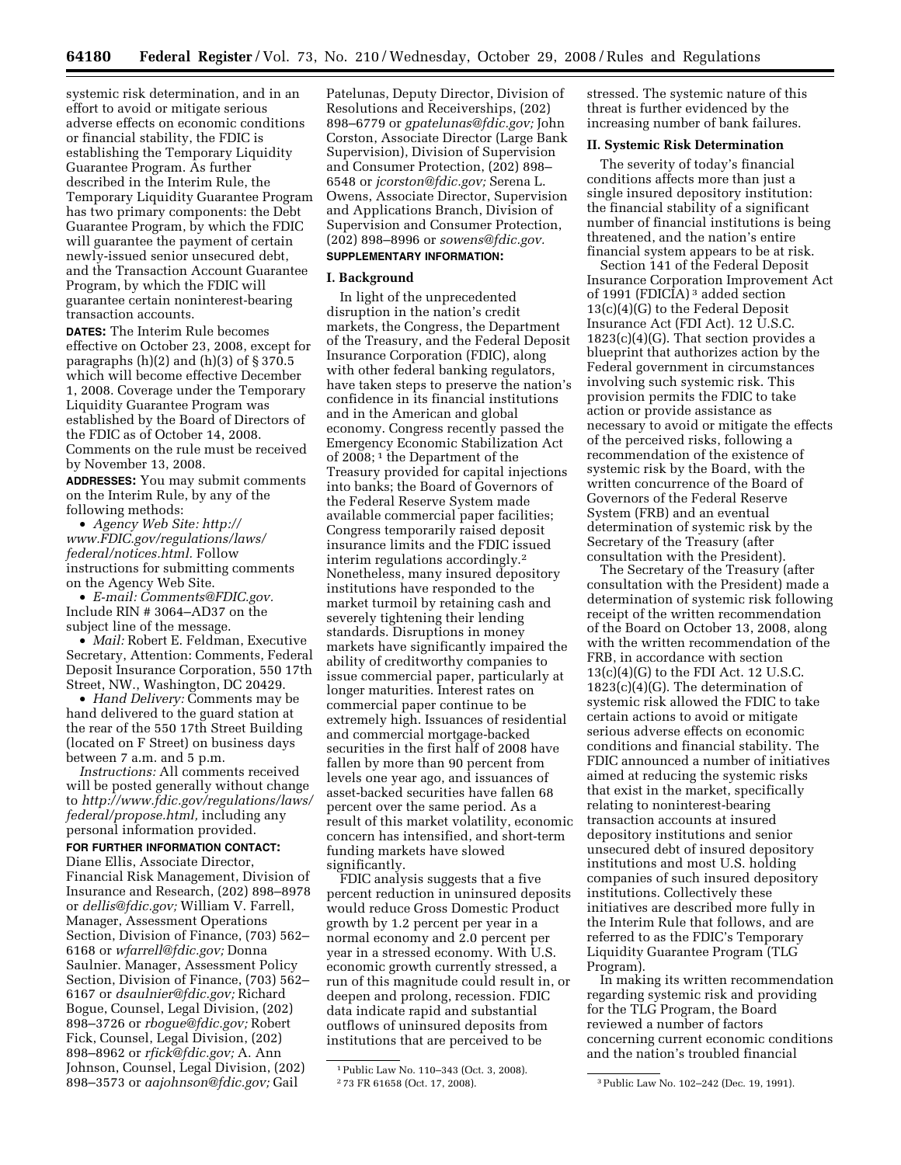systemic risk determination, and in an effort to avoid or mitigate serious adverse effects on economic conditions or financial stability, the FDIC is establishing the Temporary Liquidity Guarantee Program. As further described in the Interim Rule, the Temporary Liquidity Guarantee Program has two primary components: the Debt Guarantee Program, by which the FDIC will guarantee the payment of certain newly-issued senior unsecured debt, and the Transaction Account Guarantee Program, by which the FDIC will guarantee certain noninterest-bearing transaction accounts.

**DATES:** The Interim Rule becomes effective on October 23, 2008, except for paragraphs  $(h)(2)$  and  $(h)(3)$  of  $\S 370.5$ which will become effective December 1, 2008. Coverage under the Temporary Liquidity Guarantee Program was established by the Board of Directors of the FDIC as of October 14, 2008. Comments on the rule must be received by November 13, 2008.

**ADDRESSES:** You may submit comments on the Interim Rule, by any of the following methods:

• *Agency Web Site: http:// [www.FDIC.gov/regulations/laws/](http://www.FDIC.gov/regulations/laws/federal/notices.html)  federal/notices.html.* Follow instructions for submitting comments on the Agency Web Site.

• *E-mail: [Comments@FDIC.gov.](mailto:Comments@FDIC.gov)*  Include RIN # 3064–AD37 on the subject line of the message.

• *Mail:* Robert E. Feldman, Executive Secretary, Attention: Comments, Federal Deposit Insurance Corporation, 550 17th Street, NW., Washington, DC 20429.

• *Hand Delivery:* Comments may be hand delivered to the guard station at the rear of the 550 17th Street Building (located on F Street) on business days between 7 a.m. and 5 p.m.

*Instructions:* All comments received will be posted generally without change to *[http://www.fdic.gov/regulations/laws/](http://www.fdic.gov/regulations/laws/federal/propose.html)  federal/propose.html,* including any personal information provided.

**FOR FURTHER INFORMATION CONTACT:**  Diane Ellis, Associate Director, Financial Risk Management, Division of Insurance and Research, (202) 898–8978 or *[dellis@fdic.gov;](mailto:dellis@fdic.gov)* William V. Farrell, Manager, Assessment Operations Section, Division of Finance, (703) 562– 6168 or *[wfarrell@fdic.gov;](mailto:wfarrell@fdic.gov)* Donna Saulnier. Manager, Assessment Policy Section, Division of Finance, (703) 562– 6167 or *[dsaulnier@fdic.gov;](mailto:dsaulnier@fdic.gov)* Richard Bogue, Counsel, Legal Division, (202) 898–3726 or *[rbogue@fdic.gov;](mailto:rbogue@fdic.gov)* Robert Fick, Counsel, Legal Division, (202) 898–8962 or *[rfick@fdic.gov;](mailto:rfick@fdic.gov)* A. Ann Johnson, Counsel, Legal Division, (202) 898–3573 or *[aajohnson@fdic.gov;](mailto:aajohnson@fdic.gov)* Gail

Patelunas, Deputy Director, Division of Resolutions and Receiverships, (202) 898–6779 or *[gpatelunas@fdic.gov;](mailto:gpatelunas@fdic.gov)* John Corston, Associate Director (Large Bank Supervision), Division of Supervision and Consumer Protection, (202) 898– 6548 or *[jcorston@fdic.gov;](mailto:jcorston@fdic.gov)* Serena L. Owens, Associate Director, Supervision and Applications Branch, Division of Supervision and Consumer Protection, (202) 898–8996 or *[sowens@fdic.gov.](mailto:sowens@fdic.gov)*  **SUPPLEMENTARY INFORMATION:** 

### **I. Background**

In light of the unprecedented disruption in the nation's credit markets, the Congress, the Department of the Treasury, and the Federal Deposit Insurance Corporation (FDIC), along with other federal banking regulators, have taken steps to preserve the nation's confidence in its financial institutions and in the American and global economy. Congress recently passed the Emergency Economic Stabilization Act of 2008; 1 the Department of the Treasury provided for capital injections into banks; the Board of Governors of the Federal Reserve System made available commercial paper facilities; Congress temporarily raised deposit insurance limits and the FDIC issued interim regulations accordingly.2 Nonetheless, many insured depository institutions have responded to the market turmoil by retaining cash and severely tightening their lending standards. Disruptions in money markets have significantly impaired the ability of creditworthy companies to issue commercial paper, particularly at longer maturities. Interest rates on commercial paper continue to be extremely high. Issuances of residential and commercial mortgage-backed securities in the first half of 2008 have fallen by more than 90 percent from levels one year ago, and issuances of asset-backed securities have fallen 68 percent over the same period. As a result of this market volatility, economic concern has intensified, and short-term funding markets have slowed significantly.

FDIC analysis suggests that a five percent reduction in uninsured deposits would reduce Gross Domestic Product growth by 1.2 percent per year in a normal economy and 2.0 percent per year in a stressed economy. With U.S. economic growth currently stressed, a run of this magnitude could result in, or deepen and prolong, recession. FDIC data indicate rapid and substantial outflows of uninsured deposits from institutions that are perceived to be

stressed. The systemic nature of this threat is further evidenced by the increasing number of bank failures.

#### **II. Systemic Risk Determination**

The severity of today's financial conditions affects more than just a single insured depository institution: the financial stability of a significant number of financial institutions is being threatened, and the nation's entire financial system appears to be at risk.

Section 141 of the Federal Deposit Insurance Corporation Improvement Act of 1991 (FDICIA) 3 added section 13(c)(4)(G) to the Federal Deposit Insurance Act (FDI Act). 12 U.S.C.  $1823(c)(4)(G)$ . That section provides a blueprint that authorizes action by the Federal government in circumstances involving such systemic risk. This provision permits the FDIC to take action or provide assistance as necessary to avoid or mitigate the effects of the perceived risks, following a recommendation of the existence of systemic risk by the Board, with the written concurrence of the Board of Governors of the Federal Reserve System (FRB) and an eventual determination of systemic risk by the Secretary of the Treasury (after consultation with the President).

The Secretary of the Treasury (after consultation with the President) made a determination of systemic risk following receipt of the written recommendation of the Board on October 13, 2008, along with the written recommendation of the FRB, in accordance with section  $13(c)(4)(G)$  to the FDI Act. 12 U.S.C.  $1823(c)(4)(G)$ . The determination of systemic risk allowed the FDIC to take certain actions to avoid or mitigate serious adverse effects on economic conditions and financial stability. The FDIC announced a number of initiatives aimed at reducing the systemic risks that exist in the market, specifically relating to noninterest-bearing transaction accounts at insured depository institutions and senior unsecured debt of insured depository institutions and most U.S. holding companies of such insured depository institutions. Collectively these initiatives are described more fully in the Interim Rule that follows, and are referred to as the FDIC's Temporary Liquidity Guarantee Program (TLG Program).

In making its written recommendation regarding systemic risk and providing for the TLG Program, the Board reviewed a number of factors concerning current economic conditions and the nation's troubled financial

<sup>1</sup>Public Law No. 110–343 (Oct. 3, 2008).

<sup>2</sup> 73 FR 61658 (Oct. 17, 2008). 3Public Law No. 102–242 (Dec. 19, 1991).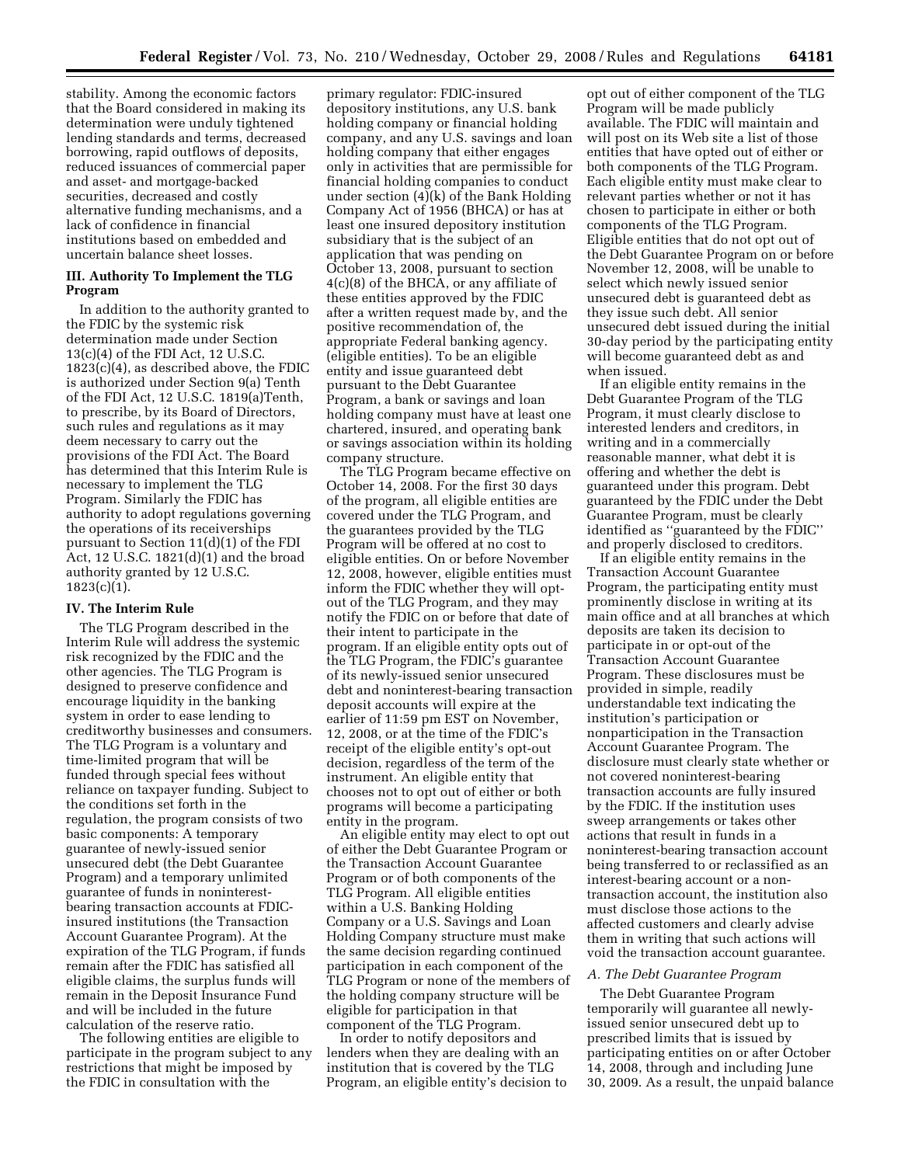stability. Among the economic factors that the Board considered in making its determination were unduly tightened lending standards and terms, decreased borrowing, rapid outflows of deposits, reduced issuances of commercial paper and asset- and mortgage-backed securities, decreased and costly alternative funding mechanisms, and a lack of confidence in financial institutions based on embedded and uncertain balance sheet losses.

#### **III. Authority To Implement the TLG Program**

In addition to the authority granted to the FDIC by the systemic risk determination made under Section 13(c)(4) of the FDI Act, 12 U.S.C. 1823(c)(4), as described above, the FDIC is authorized under Section 9(a) Tenth of the FDI Act, 12 U.S.C. 1819(a)Tenth, to prescribe, by its Board of Directors, such rules and regulations as it may deem necessary to carry out the provisions of the FDI Act. The Board has determined that this Interim Rule is necessary to implement the TLG Program. Similarly the FDIC has authority to adopt regulations governing the operations of its receiverships pursuant to Section 11(d)(1) of the FDI Act, 12 U.S.C. 1821(d)(1) and the broad authority granted by 12 U.S.C.  $1823(c)(1)$ .

#### **IV. The Interim Rule**

The TLG Program described in the Interim Rule will address the systemic risk recognized by the FDIC and the other agencies. The TLG Program is designed to preserve confidence and encourage liquidity in the banking system in order to ease lending to creditworthy businesses and consumers. The TLG Program is a voluntary and time-limited program that will be funded through special fees without reliance on taxpayer funding. Subject to the conditions set forth in the regulation, the program consists of two basic components: A temporary guarantee of newly-issued senior unsecured debt (the Debt Guarantee Program) and a temporary unlimited guarantee of funds in noninterestbearing transaction accounts at FDICinsured institutions (the Transaction Account Guarantee Program). At the expiration of the TLG Program, if funds remain after the FDIC has satisfied all eligible claims, the surplus funds will remain in the Deposit Insurance Fund and will be included in the future calculation of the reserve ratio.

The following entities are eligible to participate in the program subject to any restrictions that might be imposed by the FDIC in consultation with the

primary regulator: FDIC-insured depository institutions, any U.S. bank holding company or financial holding company, and any U.S. savings and loan holding company that either engages only in activities that are permissible for financial holding companies to conduct under section (4)(k) of the Bank Holding Company Act of 1956 (BHCA) or has at least one insured depository institution subsidiary that is the subject of an application that was pending on October 13, 2008, pursuant to section 4(c)(8) of the BHCA, or any affiliate of these entities approved by the FDIC after a written request made by, and the positive recommendation of, the appropriate Federal banking agency. (eligible entities). To be an eligible entity and issue guaranteed debt pursuant to the Debt Guarantee Program, a bank or savings and loan holding company must have at least one chartered, insured, and operating bank or savings association within its holding company structure.

The TLG Program became effective on October 14, 2008. For the first 30 days of the program, all eligible entities are covered under the TLG Program, and the guarantees provided by the TLG Program will be offered at no cost to eligible entities. On or before November 12, 2008, however, eligible entities must inform the FDIC whether they will optout of the TLG Program, and they may notify the FDIC on or before that date of their intent to participate in the program. If an eligible entity opts out of the TLG Program, the FDIC's guarantee of its newly-issued senior unsecured debt and noninterest-bearing transaction deposit accounts will expire at the earlier of 11:59 pm EST on November, 12, 2008, or at the time of the FDIC's receipt of the eligible entity's opt-out decision, regardless of the term of the instrument. An eligible entity that chooses not to opt out of either or both programs will become a participating entity in the program.

An eligible entity may elect to opt out of either the Debt Guarantee Program or the Transaction Account Guarantee Program or of both components of the TLG Program. All eligible entities within a U.S. Banking Holding Company or a U.S. Savings and Loan Holding Company structure must make the same decision regarding continued participation in each component of the TLG Program or none of the members of the holding company structure will be eligible for participation in that component of the TLG Program.

In order to notify depositors and lenders when they are dealing with an institution that is covered by the TLG Program, an eligible entity's decision to

opt out of either component of the TLG Program will be made publicly available. The FDIC will maintain and will post on its Web site a list of those entities that have opted out of either or both components of the TLG Program. Each eligible entity must make clear to relevant parties whether or not it has chosen to participate in either or both components of the TLG Program. Eligible entities that do not opt out of the Debt Guarantee Program on or before November 12, 2008, will be unable to select which newly issued senior unsecured debt is guaranteed debt as they issue such debt. All senior unsecured debt issued during the initial 30-day period by the participating entity will become guaranteed debt as and when issued.

If an eligible entity remains in the Debt Guarantee Program of the TLG Program, it must clearly disclose to interested lenders and creditors, in writing and in a commercially reasonable manner, what debt it is offering and whether the debt is guaranteed under this program. Debt guaranteed by the FDIC under the Debt Guarantee Program, must be clearly identified as ''guaranteed by the FDIC'' and properly disclosed to creditors.

If an eligible entity remains in the Transaction Account Guarantee Program, the participating entity must prominently disclose in writing at its main office and at all branches at which deposits are taken its decision to participate in or opt-out of the Transaction Account Guarantee Program. These disclosures must be provided in simple, readily understandable text indicating the institution's participation or nonparticipation in the Transaction Account Guarantee Program. The disclosure must clearly state whether or not covered noninterest-bearing transaction accounts are fully insured by the FDIC. If the institution uses sweep arrangements or takes other actions that result in funds in a noninterest-bearing transaction account being transferred to or reclassified as an interest-bearing account or a nontransaction account, the institution also must disclose those actions to the affected customers and clearly advise them in writing that such actions will void the transaction account guarantee.

#### *A. The Debt Guarantee Program*

The Debt Guarantee Program temporarily will guarantee all newlyissued senior unsecured debt up to prescribed limits that is issued by participating entities on or after October 14, 2008, through and including June 30, 2009. As a result, the unpaid balance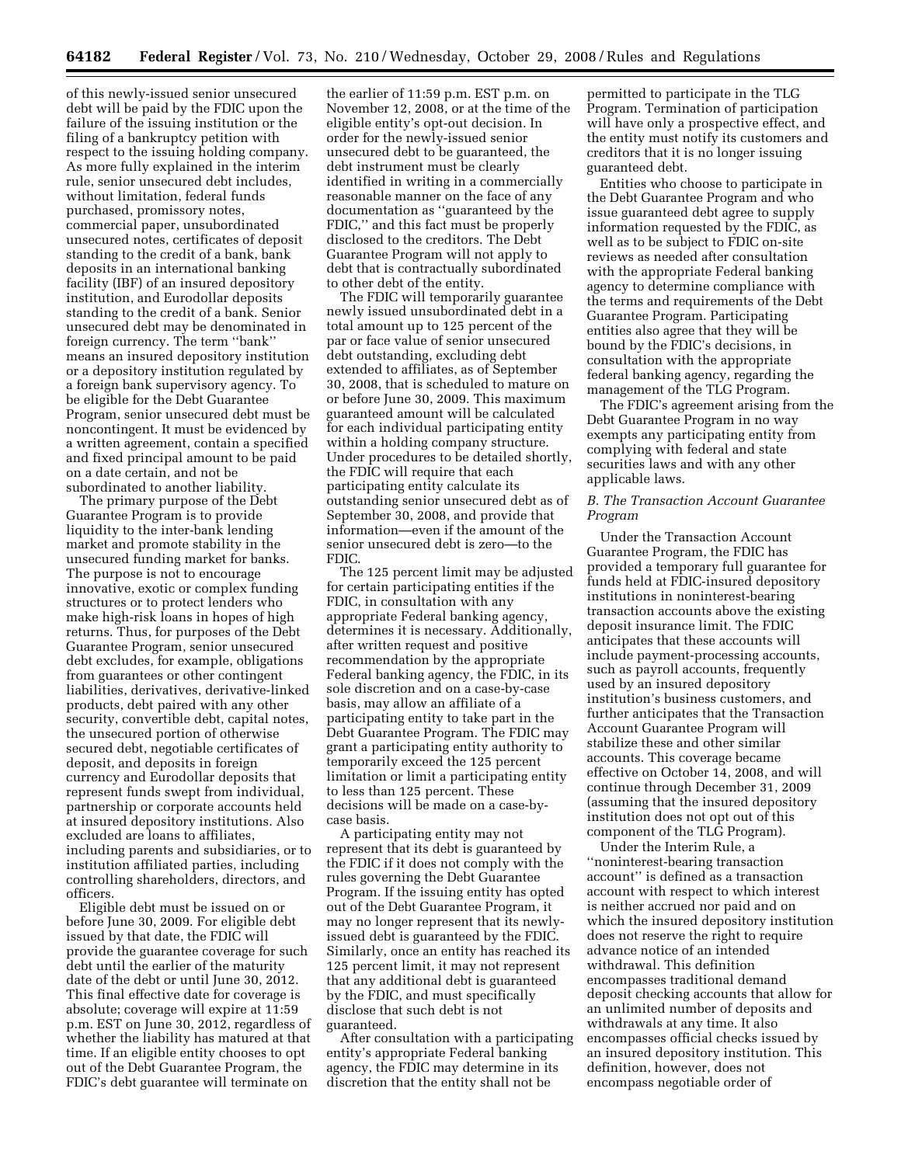of this newly-issued senior unsecured debt will be paid by the FDIC upon the failure of the issuing institution or the filing of a bankruptcy petition with respect to the issuing holding company. As more fully explained in the interim rule, senior unsecured debt includes, without limitation, federal funds purchased, promissory notes, commercial paper, unsubordinated unsecured notes, certificates of deposit standing to the credit of a bank, bank deposits in an international banking facility (IBF) of an insured depository institution, and Eurodollar deposits standing to the credit of a bank. Senior unsecured debt may be denominated in foreign currency. The term ''bank'' means an insured depository institution or a depository institution regulated by a foreign bank supervisory agency. To be eligible for the Debt Guarantee Program, senior unsecured debt must be noncontingent. It must be evidenced by a written agreement, contain a specified and fixed principal amount to be paid on a date certain, and not be subordinated to another liability.

The primary purpose of the Debt Guarantee Program is to provide liquidity to the inter-bank lending market and promote stability in the unsecured funding market for banks. The purpose is not to encourage innovative, exotic or complex funding structures or to protect lenders who make high-risk loans in hopes of high returns. Thus, for purposes of the Debt Guarantee Program, senior unsecured debt excludes, for example, obligations from guarantees or other contingent liabilities, derivatives, derivative-linked products, debt paired with any other security, convertible debt, capital notes, the unsecured portion of otherwise secured debt, negotiable certificates of deposit, and deposits in foreign currency and Eurodollar deposits that represent funds swept from individual, partnership or corporate accounts held at insured depository institutions. Also excluded are loans to affiliates, including parents and subsidiaries, or to institution affiliated parties, including controlling shareholders, directors, and officers.

Eligible debt must be issued on or before June 30, 2009. For eligible debt issued by that date, the FDIC will provide the guarantee coverage for such debt until the earlier of the maturity date of the debt or until June 30, 2012. This final effective date for coverage is absolute; coverage will expire at 11:59 p.m. EST on June 30, 2012, regardless of whether the liability has matured at that time. If an eligible entity chooses to opt out of the Debt Guarantee Program, the FDIC's debt guarantee will terminate on

the earlier of 11:59 p.m. EST p.m. on November 12, 2008, or at the time of the eligible entity's opt-out decision. In order for the newly-issued senior unsecured debt to be guaranteed, the debt instrument must be clearly identified in writing in a commercially reasonable manner on the face of any documentation as ''guaranteed by the FDIC,'' and this fact must be properly disclosed to the creditors. The Debt Guarantee Program will not apply to debt that is contractually subordinated to other debt of the entity.

The FDIC will temporarily guarantee newly issued unsubordinated debt in a total amount up to 125 percent of the par or face value of senior unsecured debt outstanding, excluding debt extended to affiliates, as of September 30, 2008, that is scheduled to mature on or before June 30, 2009. This maximum guaranteed amount will be calculated for each individual participating entity within a holding company structure. Under procedures to be detailed shortly, the FDIC will require that each participating entity calculate its outstanding senior unsecured debt as of September 30, 2008, and provide that information—even if the amount of the senior unsecured debt is zero—to the FDIC.

The 125 percent limit may be adjusted for certain participating entities if the FDIC, in consultation with any appropriate Federal banking agency, determines it is necessary. Additionally, after written request and positive recommendation by the appropriate Federal banking agency, the FDIC, in its sole discretion and on a case-by-case basis, may allow an affiliate of a participating entity to take part in the Debt Guarantee Program. The FDIC may grant a participating entity authority to temporarily exceed the 125 percent limitation or limit a participating entity to less than 125 percent. These decisions will be made on a case-bycase basis.

A participating entity may not represent that its debt is guaranteed by the FDIC if it does not comply with the rules governing the Debt Guarantee Program. If the issuing entity has opted out of the Debt Guarantee Program, it may no longer represent that its newlyissued debt is guaranteed by the FDIC. Similarly, once an entity has reached its 125 percent limit, it may not represent that any additional debt is guaranteed by the FDIC, and must specifically disclose that such debt is not guaranteed.

After consultation with a participating entity's appropriate Federal banking agency, the FDIC may determine in its discretion that the entity shall not be

permitted to participate in the TLG Program. Termination of participation will have only a prospective effect, and the entity must notify its customers and creditors that it is no longer issuing guaranteed debt.

Entities who choose to participate in the Debt Guarantee Program and who issue guaranteed debt agree to supply information requested by the FDIC, as well as to be subject to FDIC on-site reviews as needed after consultation with the appropriate Federal banking agency to determine compliance with the terms and requirements of the Debt Guarantee Program. Participating entities also agree that they will be bound by the FDIC's decisions, in consultation with the appropriate federal banking agency, regarding the management of the TLG Program.

The FDIC's agreement arising from the Debt Guarantee Program in no way exempts any participating entity from complying with federal and state securities laws and with any other applicable laws.

# *B. The Transaction Account Guarantee Program*

Under the Transaction Account Guarantee Program, the FDIC has provided a temporary full guarantee for funds held at FDIC-insured depository institutions in noninterest-bearing transaction accounts above the existing deposit insurance limit. The FDIC anticipates that these accounts will include payment-processing accounts, such as payroll accounts, frequently used by an insured depository institution's business customers, and further anticipates that the Transaction Account Guarantee Program will stabilize these and other similar accounts. This coverage became effective on October 14, 2008, and will continue through December 31, 2009 (assuming that the insured depository institution does not opt out of this component of the TLG Program).

Under the Interim Rule, a ''noninterest-bearing transaction account'' is defined as a transaction account with respect to which interest is neither accrued nor paid and on which the insured depository institution does not reserve the right to require advance notice of an intended withdrawal. This definition encompasses traditional demand deposit checking accounts that allow for an unlimited number of deposits and withdrawals at any time. It also encompasses official checks issued by an insured depository institution. This definition, however, does not encompass negotiable order of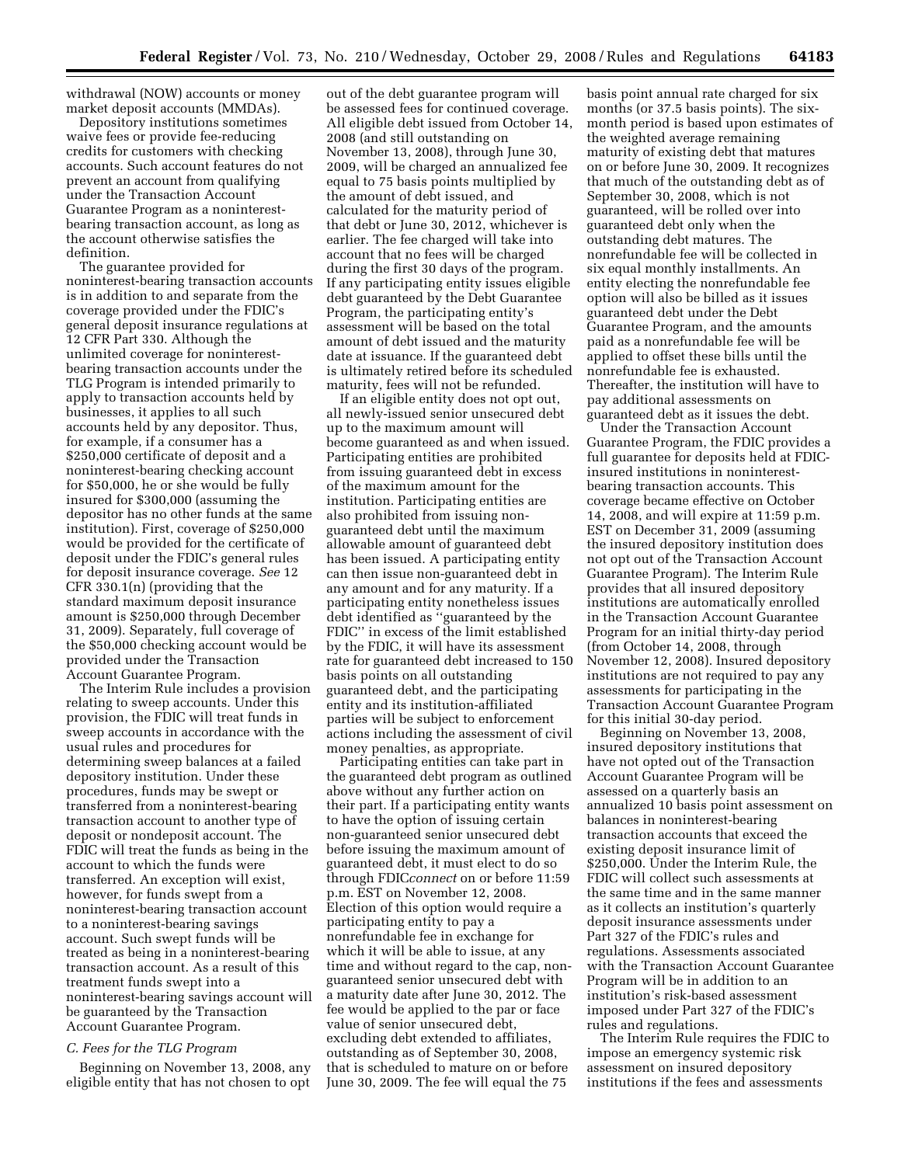withdrawal (NOW) accounts or money market deposit accounts (MMDAs).

Depository institutions sometimes waive fees or provide fee-reducing credits for customers with checking accounts. Such account features do not prevent an account from qualifying under the Transaction Account Guarantee Program as a noninterestbearing transaction account, as long as the account otherwise satisfies the definition.

The guarantee provided for noninterest-bearing transaction accounts is in addition to and separate from the coverage provided under the FDIC's general deposit insurance regulations at 12 CFR Part 330. Although the unlimited coverage for noninterestbearing transaction accounts under the TLG Program is intended primarily to apply to transaction accounts held by businesses, it applies to all such accounts held by any depositor. Thus, for example, if a consumer has a \$250,000 certificate of deposit and a noninterest-bearing checking account for \$50,000, he or she would be fully insured for \$300,000 (assuming the depositor has no other funds at the same institution). First, coverage of \$250,000 would be provided for the certificate of deposit under the FDIC's general rules for deposit insurance coverage. *See* 12 CFR 330.1(n) (providing that the standard maximum deposit insurance amount is \$250,000 through December 31, 2009). Separately, full coverage of the \$50,000 checking account would be provided under the Transaction Account Guarantee Program.

The Interim Rule includes a provision relating to sweep accounts. Under this provision, the FDIC will treat funds in sweep accounts in accordance with the usual rules and procedures for determining sweep balances at a failed depository institution. Under these procedures, funds may be swept or transferred from a noninterest-bearing transaction account to another type of deposit or nondeposit account. The FDIC will treat the funds as being in the account to which the funds were transferred. An exception will exist, however, for funds swept from a noninterest-bearing transaction account to a noninterest-bearing savings account. Such swept funds will be treated as being in a noninterest-bearing transaction account. As a result of this treatment funds swept into a noninterest-bearing savings account will be guaranteed by the Transaction Account Guarantee Program.

#### *C. Fees for the TLG Program*

Beginning on November 13, 2008, any eligible entity that has not chosen to opt

out of the debt guarantee program will be assessed fees for continued coverage. All eligible debt issued from October 14, 2008 (and still outstanding on November 13, 2008), through June 30, 2009, will be charged an annualized fee equal to 75 basis points multiplied by the amount of debt issued, and calculated for the maturity period of that debt or June 30, 2012, whichever is earlier. The fee charged will take into account that no fees will be charged during the first 30 days of the program. If any participating entity issues eligible debt guaranteed by the Debt Guarantee Program, the participating entity's assessment will be based on the total amount of debt issued and the maturity date at issuance. If the guaranteed debt is ultimately retired before its scheduled maturity, fees will not be refunded.

If an eligible entity does not opt out, all newly-issued senior unsecured debt up to the maximum amount will become guaranteed as and when issued. Participating entities are prohibited from issuing guaranteed debt in excess of the maximum amount for the institution. Participating entities are also prohibited from issuing nonguaranteed debt until the maximum allowable amount of guaranteed debt has been issued. A participating entity can then issue non-guaranteed debt in any amount and for any maturity. If a participating entity nonetheless issues debt identified as ''guaranteed by the FDIC'' in excess of the limit established by the FDIC, it will have its assessment rate for guaranteed debt increased to 150 basis points on all outstanding guaranteed debt, and the participating entity and its institution-affiliated parties will be subject to enforcement actions including the assessment of civil money penalties, as appropriate.

Participating entities can take part in the guaranteed debt program as outlined above without any further action on their part. If a participating entity wants to have the option of issuing certain non-guaranteed senior unsecured debt before issuing the maximum amount of guaranteed debt, it must elect to do so through FDIC*connect* on or before 11:59 p.m. EST on November 12, 2008. Election of this option would require a participating entity to pay a nonrefundable fee in exchange for which it will be able to issue, at any time and without regard to the cap, nonguaranteed senior unsecured debt with a maturity date after June 30, 2012. The fee would be applied to the par or face value of senior unsecured debt, excluding debt extended to affiliates, outstanding as of September 30, 2008, that is scheduled to mature on or before June 30, 2009. The fee will equal the 75

basis point annual rate charged for six months (or 37.5 basis points). The sixmonth period is based upon estimates of the weighted average remaining maturity of existing debt that matures on or before June 30, 2009. It recognizes that much of the outstanding debt as of September 30, 2008, which is not guaranteed, will be rolled over into guaranteed debt only when the outstanding debt matures. The nonrefundable fee will be collected in six equal monthly installments. An entity electing the nonrefundable fee option will also be billed as it issues guaranteed debt under the Debt Guarantee Program, and the amounts paid as a nonrefundable fee will be applied to offset these bills until the nonrefundable fee is exhausted. Thereafter, the institution will have to pay additional assessments on guaranteed debt as it issues the debt.

Under the Transaction Account Guarantee Program, the FDIC provides a full guarantee for deposits held at FDICinsured institutions in noninterestbearing transaction accounts. This coverage became effective on October 14, 2008, and will expire at 11:59 p.m. EST on December 31, 2009 (assuming the insured depository institution does not opt out of the Transaction Account Guarantee Program). The Interim Rule provides that all insured depository institutions are automatically enrolled in the Transaction Account Guarantee Program for an initial thirty-day period (from October 14, 2008, through November 12, 2008). Insured depository institutions are not required to pay any assessments for participating in the Transaction Account Guarantee Program for this initial 30-day period.

Beginning on November 13, 2008, insured depository institutions that have not opted out of the Transaction Account Guarantee Program will be assessed on a quarterly basis an annualized 10 basis point assessment on balances in noninterest-bearing transaction accounts that exceed the existing deposit insurance limit of \$250,000. Under the Interim Rule, the FDIC will collect such assessments at the same time and in the same manner as it collects an institution's quarterly deposit insurance assessments under Part 327 of the FDIC's rules and regulations. Assessments associated with the Transaction Account Guarantee Program will be in addition to an institution's risk-based assessment imposed under Part 327 of the FDIC's rules and regulations.

The Interim Rule requires the FDIC to impose an emergency systemic risk assessment on insured depository institutions if the fees and assessments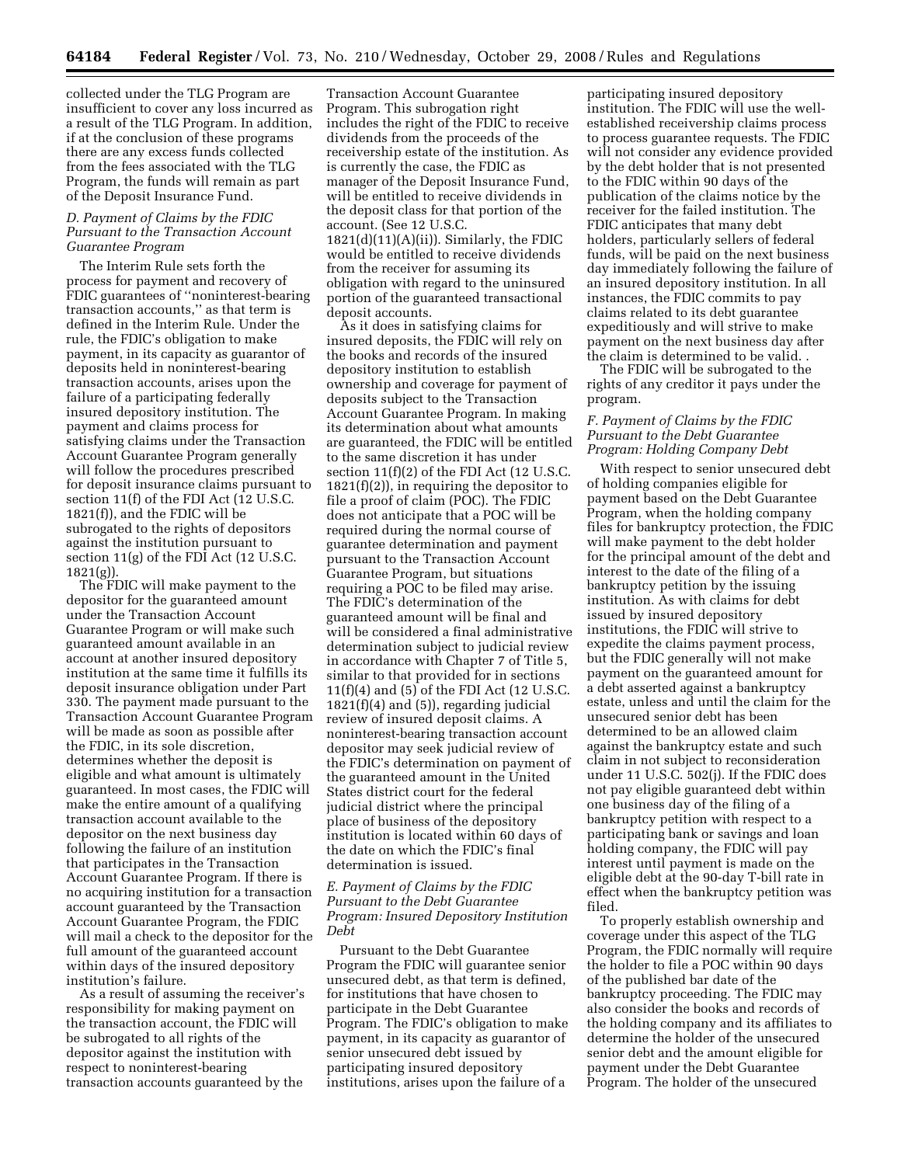collected under the TLG Program are insufficient to cover any loss incurred as a result of the TLG Program. In addition, if at the conclusion of these programs there are any excess funds collected from the fees associated with the TLG Program, the funds will remain as part of the Deposit Insurance Fund.

### *D. Payment of Claims by the FDIC Pursuant to the Transaction Account Guarantee Program*

The Interim Rule sets forth the process for payment and recovery of FDIC guarantees of ''noninterest-bearing transaction accounts,'' as that term is defined in the Interim Rule. Under the rule, the FDIC's obligation to make payment, in its capacity as guarantor of deposits held in noninterest-bearing transaction accounts, arises upon the failure of a participating federally insured depository institution. The payment and claims process for satisfying claims under the Transaction Account Guarantee Program generally will follow the procedures prescribed for deposit insurance claims pursuant to section 11(f) of the FDI Act (12 U.S.C. 1821(f)), and the FDIC will be subrogated to the rights of depositors against the institution pursuant to section 11(g) of the FDI Act (12 U.S.C. 1821(g)).

The FDIC will make payment to the depositor for the guaranteed amount under the Transaction Account Guarantee Program or will make such guaranteed amount available in an account at another insured depository institution at the same time it fulfills its deposit insurance obligation under Part 330. The payment made pursuant to the Transaction Account Guarantee Program will be made as soon as possible after the FDIC, in its sole discretion, determines whether the deposit is eligible and what amount is ultimately guaranteed. In most cases, the FDIC will make the entire amount of a qualifying transaction account available to the depositor on the next business day following the failure of an institution that participates in the Transaction Account Guarantee Program. If there is no acquiring institution for a transaction account guaranteed by the Transaction Account Guarantee Program, the FDIC will mail a check to the depositor for the full amount of the guaranteed account within days of the insured depository institution's failure.

As a result of assuming the receiver's responsibility for making payment on the transaction account, the FDIC will be subrogated to all rights of the depositor against the institution with respect to noninterest-bearing transaction accounts guaranteed by the

Transaction Account Guarantee Program. This subrogation right includes the right of the FDIC to receive dividends from the proceeds of the receivership estate of the institution. As is currently the case, the FDIC as manager of the Deposit Insurance Fund, will be entitled to receive dividends in the deposit class for that portion of the account. (See 12 U.S.C.  $1821(d)(11)(A)(ii)$ ). Similarly, the FDIC would be entitled to receive dividends from the receiver for assuming its obligation with regard to the uninsured portion of the guaranteed transactional deposit accounts.

As it does in satisfying claims for insured deposits, the FDIC will rely on the books and records of the insured depository institution to establish ownership and coverage for payment of deposits subject to the Transaction Account Guarantee Program. In making its determination about what amounts are guaranteed, the FDIC will be entitled to the same discretion it has under section 11(f)(2) of the FDI Act (12 U.S.C. 1821(f)(2)), in requiring the depositor to file a proof of claim (POC). The FDIC does not anticipate that a POC will be required during the normal course of guarantee determination and payment pursuant to the Transaction Account Guarantee Program, but situations requiring a POC to be filed may arise. The FDIC's determination of the guaranteed amount will be final and will be considered a final administrative determination subject to judicial review in accordance with Chapter 7 of Title 5, similar to that provided for in sections 11(f)(4) and (5) of the FDI Act (12 U.S.C. 1821(f)(4) and (5)), regarding judicial review of insured deposit claims. A noninterest-bearing transaction account depositor may seek judicial review of the FDIC's determination on payment of the guaranteed amount in the United States district court for the federal judicial district where the principal place of business of the depository institution is located within 60 days of the date on which the FDIC's final determination is issued.

#### *E. Payment of Claims by the FDIC Pursuant to the Debt Guarantee Program: Insured Depository Institution Debt*

Pursuant to the Debt Guarantee Program the FDIC will guarantee senior unsecured debt, as that term is defined, for institutions that have chosen to participate in the Debt Guarantee Program. The FDIC's obligation to make payment, in its capacity as guarantor of senior unsecured debt issued by participating insured depository institutions, arises upon the failure of a

participating insured depository institution. The FDIC will use the wellestablished receivership claims process to process guarantee requests. The FDIC will not consider any evidence provided by the debt holder that is not presented to the FDIC within 90 days of the publication of the claims notice by the receiver for the failed institution. The FDIC anticipates that many debt holders, particularly sellers of federal funds, will be paid on the next business day immediately following the failure of an insured depository institution. In all instances, the FDIC commits to pay claims related to its debt guarantee expeditiously and will strive to make payment on the next business day after the claim is determined to be valid. .

The FDIC will be subrogated to the rights of any creditor it pays under the program.

#### *F. Payment of Claims by the FDIC Pursuant to the Debt Guarantee Program: Holding Company Debt*

With respect to senior unsecured debt of holding companies eligible for payment based on the Debt Guarantee Program, when the holding company files for bankruptcy protection, the FDIC will make payment to the debt holder for the principal amount of the debt and interest to the date of the filing of a bankruptcy petition by the issuing institution. As with claims for debt issued by insured depository institutions, the FDIC will strive to expedite the claims payment process, but the FDIC generally will not make payment on the guaranteed amount for a debt asserted against a bankruptcy estate, unless and until the claim for the unsecured senior debt has been determined to be an allowed claim against the bankruptcy estate and such claim in not subject to reconsideration under 11 U.S.C. 502(j). If the FDIC does not pay eligible guaranteed debt within one business day of the filing of a bankruptcy petition with respect to a participating bank or savings and loan holding company, the FDIC will pay interest until payment is made on the eligible debt at the 90-day T-bill rate in effect when the bankruptcy petition was filed.

To properly establish ownership and coverage under this aspect of the TLG Program, the FDIC normally will require the holder to file a POC within 90 days of the published bar date of the bankruptcy proceeding. The FDIC may also consider the books and records of the holding company and its affiliates to determine the holder of the unsecured senior debt and the amount eligible for payment under the Debt Guarantee Program. The holder of the unsecured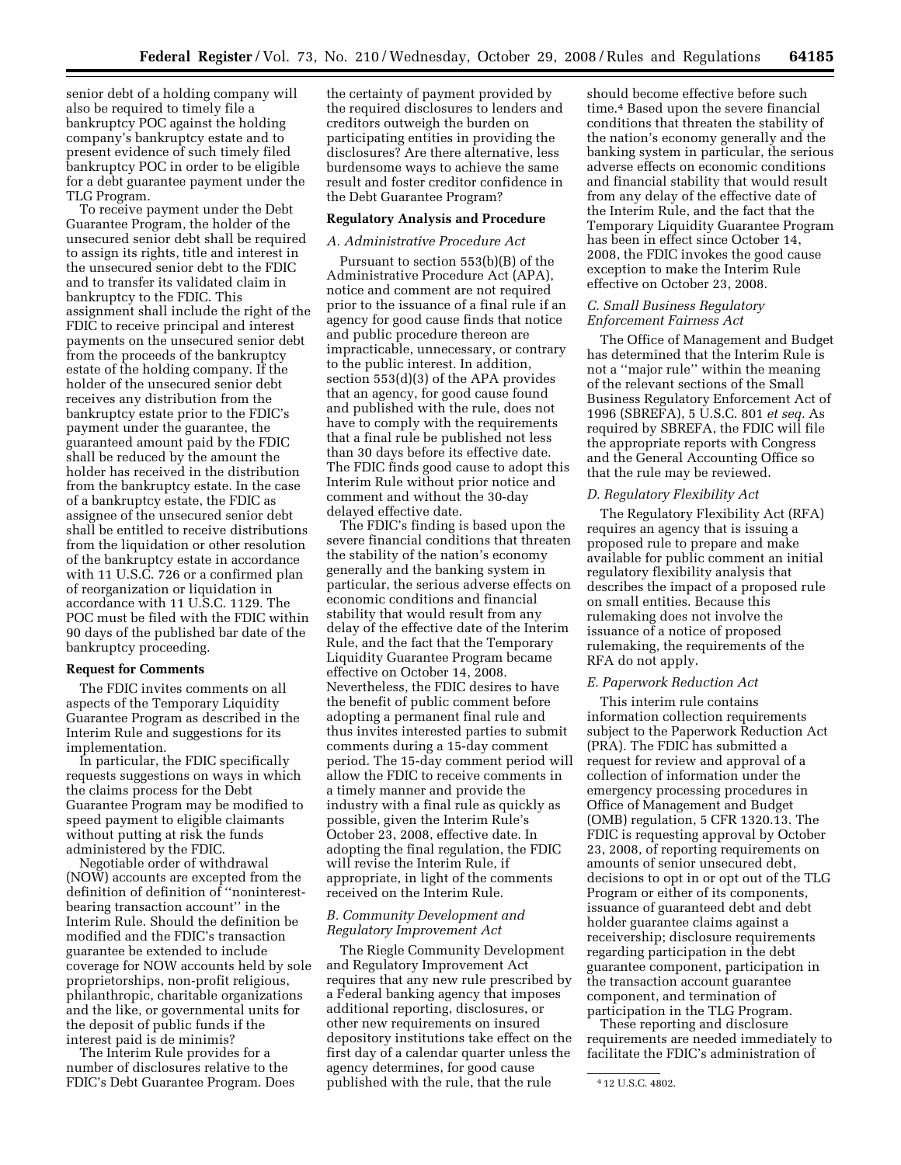senior debt of a holding company will also be required to timely file a bankruptcy POC against the holding company's bankruptcy estate and to present evidence of such timely filed bankruptcy POC in order to be eligible for a debt guarantee payment under the TLG Program.

To receive payment under the Debt Guarantee Program, the holder of the unsecured senior debt shall be required to assign its rights, title and interest in the unsecured senior debt to the FDIC and to transfer its validated claim in bankruptcy to the FDIC. This assignment shall include the right of the FDIC to receive principal and interest payments on the unsecured senior debt from the proceeds of the bankruptcy estate of the holding company. If the holder of the unsecured senior debt receives any distribution from the bankruptcy estate prior to the FDIC's payment under the guarantee, the guaranteed amount paid by the FDIC shall be reduced by the amount the holder has received in the distribution from the bankruptcy estate. In the case of a bankruptcy estate, the FDIC as assignee of the unsecured senior debt shall be entitled to receive distributions from the liquidation or other resolution of the bankruptcy estate in accordance with 11 U.S.C. 726 or a confirmed plan of reorganization or liquidation in accordance with 11 U.S.C. 1129. The POC must be filed with the FDIC within 90 days of the published bar date of the bankruptcy proceeding.

#### **Request for Comments**

The FDIC invites comments on all aspects of the Temporary Liquidity Guarantee Program as described in the Interim Rule and suggestions for its implementation.

In particular, the FDIC specifically requests suggestions on ways in which the claims process for the Debt Guarantee Program may be modified to speed payment to eligible claimants without putting at risk the funds administered by the FDIC.

Negotiable order of withdrawal (NOW) accounts are excepted from the definition of definition of ''noninterestbearing transaction account'' in the Interim Rule. Should the definition be modified and the FDIC's transaction guarantee be extended to include coverage for NOW accounts held by sole proprietorships, non-profit religious, philanthropic, charitable organizations and the like, or governmental units for the deposit of public funds if the interest paid is de minimis?

The Interim Rule provides for a number of disclosures relative to the FDIC's Debt Guarantee Program. Does the certainty of payment provided by the required disclosures to lenders and creditors outweigh the burden on participating entities in providing the disclosures? Are there alternative, less burdensome ways to achieve the same result and foster creditor confidence in the Debt Guarantee Program?

#### **Regulatory Analysis and Procedure**

#### *A. Administrative Procedure Act*

Pursuant to section 553(b)(B) of the Administrative Procedure Act (APA), notice and comment are not required prior to the issuance of a final rule if an agency for good cause finds that notice and public procedure thereon are impracticable, unnecessary, or contrary to the public interest. In addition, section 553(d)(3) of the APA provides that an agency, for good cause found and published with the rule, does not have to comply with the requirements that a final rule be published not less than 30 days before its effective date. The FDIC finds good cause to adopt this Interim Rule without prior notice and comment and without the 30-day delayed effective date.

The FDIC's finding is based upon the severe financial conditions that threaten the stability of the nation's economy generally and the banking system in particular, the serious adverse effects on economic conditions and financial stability that would result from any delay of the effective date of the Interim Rule, and the fact that the Temporary Liquidity Guarantee Program became effective on October 14, 2008. Nevertheless, the FDIC desires to have the benefit of public comment before adopting a permanent final rule and thus invites interested parties to submit comments during a 15-day comment period. The 15-day comment period will allow the FDIC to receive comments in a timely manner and provide the industry with a final rule as quickly as possible, given the Interim Rule's October 23, 2008, effective date. In adopting the final regulation, the FDIC will revise the Interim Rule, if appropriate, in light of the comments received on the Interim Rule.

#### *B. Community Development and Regulatory Improvement Act*

The Riegle Community Development and Regulatory Improvement Act requires that any new rule prescribed by a Federal banking agency that imposes additional reporting, disclosures, or other new requirements on insured depository institutions take effect on the first day of a calendar quarter unless the agency determines, for good cause published with the rule, that the rule

should become effective before such time.4 Based upon the severe financial conditions that threaten the stability of the nation's economy generally and the banking system in particular, the serious adverse effects on economic conditions and financial stability that would result from any delay of the effective date of the Interim Rule, and the fact that the Temporary Liquidity Guarantee Program has been in effect since October 14, 2008, the FDIC invokes the good cause exception to make the Interim Rule effective on October 23, 2008.

### *C. Small Business Regulatory Enforcement Fairness Act*

The Office of Management and Budget has determined that the Interim Rule is not a ''major rule'' within the meaning of the relevant sections of the Small Business Regulatory Enforcement Act of 1996 (SBREFA), 5 U.S.C. 801 *et seq.* As required by SBREFA, the FDIC will file the appropriate reports with Congress and the General Accounting Office so that the rule may be reviewed.

#### *D. Regulatory Flexibility Act*

The Regulatory Flexibility Act (RFA) requires an agency that is issuing a proposed rule to prepare and make available for public comment an initial regulatory flexibility analysis that describes the impact of a proposed rule on small entities. Because this rulemaking does not involve the issuance of a notice of proposed rulemaking, the requirements of the RFA do not apply.

#### *E. Paperwork Reduction Act*

This interim rule contains information collection requirements subject to the Paperwork Reduction Act (PRA). The FDIC has submitted a request for review and approval of a collection of information under the emergency processing procedures in Office of Management and Budget (OMB) regulation, 5 CFR 1320.13. The FDIC is requesting approval by October 23, 2008, of reporting requirements on amounts of senior unsecured debt, decisions to opt in or opt out of the TLG Program or either of its components, issuance of guaranteed debt and debt holder guarantee claims against a receivership; disclosure requirements regarding participation in the debt guarantee component, participation in the transaction account guarantee component, and termination of participation in the TLG Program.

These reporting and disclosure requirements are needed immediately to facilitate the FDIC's administration of

<sup>4</sup> 12 U.S.C. 4802.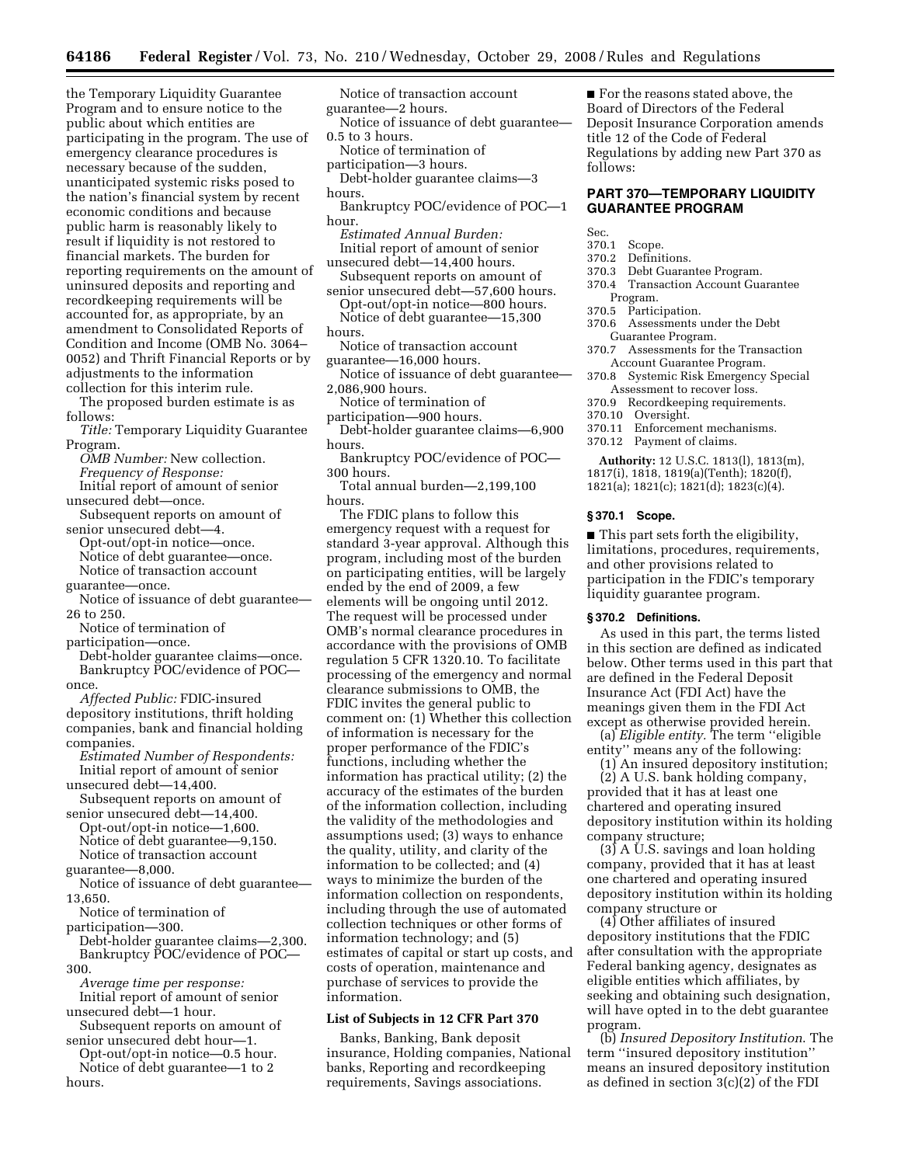the Temporary Liquidity Guarantee Program and to ensure notice to the public about which entities are participating in the program. The use of emergency clearance procedures is necessary because of the sudden, unanticipated systemic risks posed to the nation's financial system by recent economic conditions and because public harm is reasonably likely to result if liquidity is not restored to financial markets. The burden for reporting requirements on the amount of uninsured deposits and reporting and recordkeeping requirements will be accounted for, as appropriate, by an amendment to Consolidated Reports of Condition and Income (OMB No. 3064– 0052) and Thrift Financial Reports or by adjustments to the information collection for this interim rule.

The proposed burden estimate is as follows:

*Title:* Temporary Liquidity Guarantee Program.

*OMB Number:* New collection.

- *Frequency of Response:*
- Initial report of amount of senior unsecured debt—once.
- Subsequent reports on amount of senior unsecured debt—4.
- Opt-out/opt-in notice—once. Notice of debt guarantee—once. Notice of transaction account
- guarantee—once. Notice of issuance of debt guarantee— 26 to 250.

Notice of termination of

participation—once.

Debt-holder guarantee claims—once. Bankruptcy POC/evidence of POC once.

*Affected Public:* FDIC-insured depository institutions, thrift holding companies, bank and financial holding companies.

*Estimated Number of Respondents:*  Initial report of amount of senior unsecured debt—14,400.

Subsequent reports on amount of senior unsecured debt—14,400.

Opt-out/opt-in notice—1,600. Notice of debt guarantee—9,150. Notice of transaction account guarantee—8,000.

Notice of issuance of debt guarantee— 13,650.

Notice of termination of

participation—300.

Debt-holder guarantee claims—2,300. Bankruptcy POC/evidence of POC—

- 300.
- *Average time per response:*  Initial report of amount of senior
- unsecured debt—1 hour. Subsequent reports on amount of
- senior unsecured debt hour—1.
- Opt-out/opt-in notice—0.5 hour. Notice of debt guarantee—1 to 2 hours.

Notice of transaction account guarantee—2 hours.

Notice of issuance of debt guarantee— 0.5 to 3 hours.

Notice of termination of participation—3 hours.

Debt-holder guarantee claims—3 hours.

- Bankruptcy POC/evidence of POC—1 hour.
- *Estimated Annual Burden:*  Initial report of amount of senior unsecured debt—14,400 hours.
- Subsequent reports on amount of senior unsecured debt—57,600 hours.
- Opt-out/opt-in notice—800 hours. Notice of debt guarantee—15,300 hours.
- Notice of transaction account guarantee—16,000 hours.
- Notice of issuance of debt guarantee— 2,086,900 hours.
- Notice of termination of
- participation—900 hours. Debt-holder guarantee claims—6,900
- hours. Bankruptcy POC/evidence of POC—
- 300 hours.
- Total annual burden—2,199,100 hours.

The FDIC plans to follow this emergency request with a request for standard 3-year approval. Although this program, including most of the burden on participating entities, will be largely ended by the end of 2009, a few elements will be ongoing until 2012. The request will be processed under OMB's normal clearance procedures in accordance with the provisions of OMB regulation 5 CFR 1320.10. To facilitate processing of the emergency and normal clearance submissions to OMB, the FDIC invites the general public to comment on: (1) Whether this collection of information is necessary for the proper performance of the FDIC's functions, including whether the information has practical utility; (2) the accuracy of the estimates of the burden of the information collection, including the validity of the methodologies and assumptions used; (3) ways to enhance the quality, utility, and clarity of the information to be collected; and (4) ways to minimize the burden of the information collection on respondents, including through the use of automated collection techniques or other forms of information technology; and (5) estimates of capital or start up costs, and costs of operation, maintenance and purchase of services to provide the information.

#### **List of Subjects in 12 CFR Part 370**

Banks, Banking, Bank deposit insurance, Holding companies, National banks, Reporting and recordkeeping requirements, Savings associations.

■ For the reasons stated above, the Board of Directors of the Federal Deposit Insurance Corporation amends title 12 of the Code of Federal Regulations by adding new Part 370 as follows:

# **PART 370—TEMPORARY LIQUIDITY GUARANTEE PROGRAM**

Sec.

- 370.1 Scope.
- 370.2 Definitions.
- 370.3 Debt Guarantee Program.
- 370.4 Transaction Account Guarantee Program.
- 370.5 Participation.
- 370.6 Assessments under the Debt Guarantee Program.
- 370.7 Assessments for the Transaction Account Guarantee Program.
- 370.8 Systemic Risk Emergency Special Assessment to recover loss.
- 370.9 Recordkeeping requirements.
- 370.10 Oversight.
- 370.11 Enforcement mechanisms.
- 370.12 Payment of claims.

**Authority:** 12 U.S.C. 1813(l), 1813(m), 1817(i), 1818, 1819(a)(Tenth); 1820(f), 1821(a); 1821(c); 1821(d); 1823(c)(4).

#### **§ 370.1 Scope.**

■ This part sets forth the eligibility, limitations, procedures, requirements, and other provisions related to participation in the FDIC's temporary liquidity guarantee program.

#### **§ 370.2 Definitions.**

As used in this part, the terms listed in this section are defined as indicated below. Other terms used in this part that are defined in the Federal Deposit Insurance Act (FDI Act) have the meanings given them in the FDI Act except as otherwise provided herein.

(a) *Eligible entity.* The term ''eligible entity'' means any of the following:

(1) An insured depository institution; (2) A U.S. bank holding company,

provided that it has at least one chartered and operating insured depository institution within its holding company structure;

 $(3)$  A U.S. savings and loan holding company, provided that it has at least one chartered and operating insured depository institution within its holding company structure or

(4) Other affiliates of insured depository institutions that the FDIC after consultation with the appropriate Federal banking agency, designates as eligible entities which affiliates, by seeking and obtaining such designation, will have opted in to the debt guarantee program.

(b) *Insured Depository Institution*. The term ''insured depository institution'' means an insured depository institution as defined in section 3(c)(2) of the FDI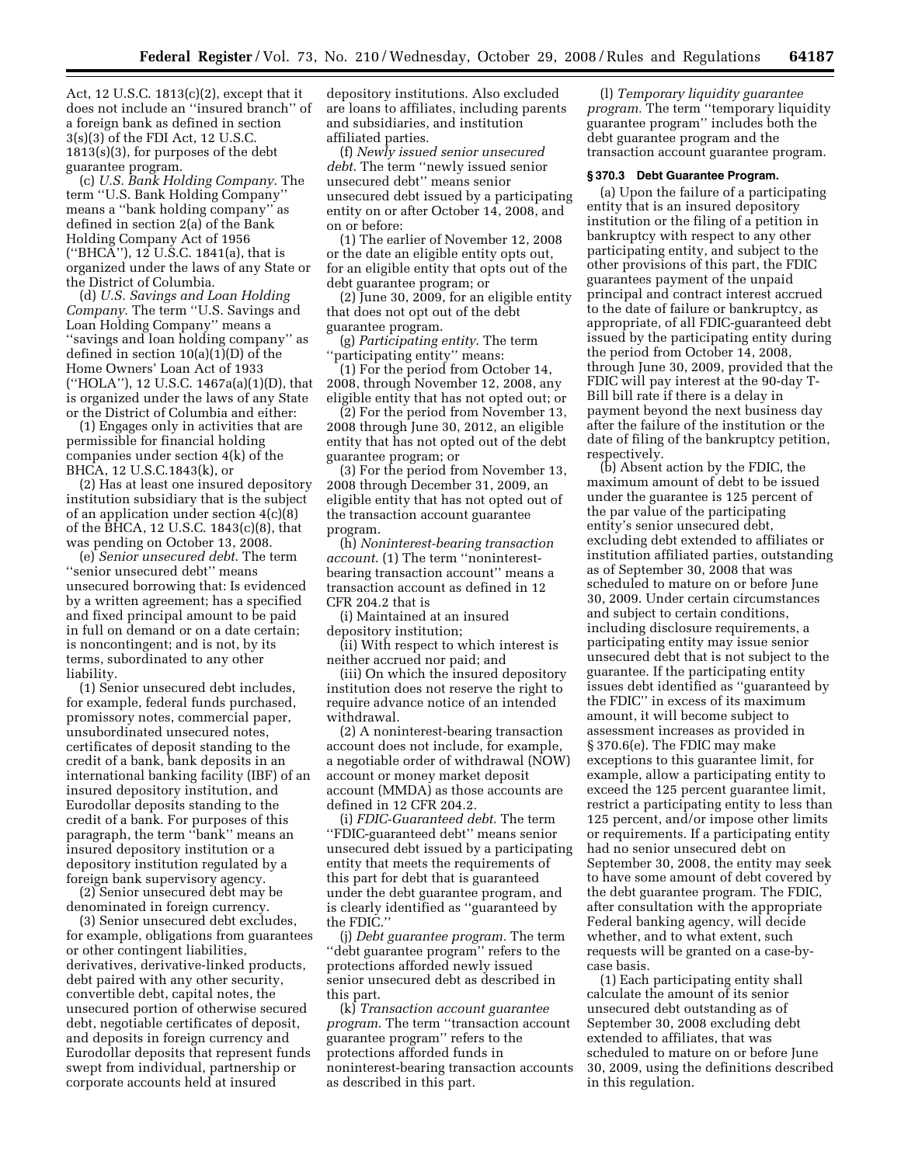Act, 12 U.S.C. 1813(c)(2), except that it does not include an ''insured branch'' of a foreign bank as defined in section 3(s)(3) of the FDI Act, 12 U.S.C. 1813(s)(3), for purposes of the debt guarantee program.

(c) *U.S. Bank Holding Company.* The term ''U.S. Bank Holding Company'' means a ''bank holding company'' as defined in section 2(a) of the Bank Holding Company Act of 1956 (''BHCA''), 12 U.S.C. 1841(a), that is organized under the laws of any State or the District of Columbia.

(d) *U.S. Savings and Loan Holding Company*. The term ''U.S. Savings and Loan Holding Company'' means a ''savings and loan holding company'' as defined in section 10(a)(1)(D) of the Home Owners' Loan Act of 1933 (''HOLA''), 12 U.S.C. 1467a(a)(1)(D), that is organized under the laws of any State or the District of Columbia and either:

(1) Engages only in activities that are permissible for financial holding companies under section 4(k) of the BHCA, 12 U.S.C.1843(k), or

(2) Has at least one insured depository institution subsidiary that is the subject of an application under section 4(c)(8) of the BHCA, 12 U.S.C. 1843(c)(8), that was pending on October 13, 2008.

(e) *Senior unsecured debt.* The term ''senior unsecured debt'' means unsecured borrowing that: Is evidenced by a written agreement; has a specified and fixed principal amount to be paid in full on demand or on a date certain; is noncontingent; and is not, by its terms, subordinated to any other liability.

(1) Senior unsecured debt includes, for example, federal funds purchased, promissory notes, commercial paper, unsubordinated unsecured notes, certificates of deposit standing to the credit of a bank, bank deposits in an international banking facility (IBF) of an insured depository institution, and Eurodollar deposits standing to the credit of a bank. For purposes of this paragraph, the term ''bank'' means an insured depository institution or a depository institution regulated by a foreign bank supervisory agency.

(2) Senior unsecured debt may be denominated in foreign currency.

(3) Senior unsecured debt excludes, for example, obligations from guarantees or other contingent liabilities, derivatives, derivative-linked products, debt paired with any other security, convertible debt, capital notes, the unsecured portion of otherwise secured debt, negotiable certificates of deposit, and deposits in foreign currency and Eurodollar deposits that represent funds swept from individual, partnership or corporate accounts held at insured

depository institutions. Also excluded are loans to affiliates, including parents and subsidiaries, and institution affiliated parties.

(f) *Newly issued senior unsecured debt*. The term ''newly issued senior unsecured debt'' means senior unsecured debt issued by a participating entity on or after October 14, 2008, and on or before:

(1) The earlier of November 12, 2008 or the date an eligible entity opts out, for an eligible entity that opts out of the debt guarantee program; or

(2) June 30, 2009, for an eligible entity that does not opt out of the debt guarantee program.

(g) *Participating entity*. The term ''participating entity'' means:

(1) For the period from October 14, 2008, through November 12, 2008, any eligible entity that has not opted out; or

(2) For the period from November 13, 2008 through June 30, 2012, an eligible entity that has not opted out of the debt guarantee program; or

(3) For the period from November 13, 2008 through December 31, 2009, an eligible entity that has not opted out of the transaction account guarantee program.

(h) *Noninterest-bearing transaction account*. (1) The term ''noninterestbearing transaction account'' means a transaction account as defined in 12 CFR 204.2 that is

(i) Maintained at an insured depository institution;

(ii) With respect to which interest is neither accrued nor paid; and

(iii) On which the insured depository institution does not reserve the right to require advance notice of an intended withdrawal.

(2) A noninterest-bearing transaction account does not include, for example, a negotiable order of withdrawal (NOW) account or money market deposit account (MMDA) as those accounts are defined in 12 CFR 204.2.

(i) *FDIC-Guaranteed debt.* The term ''FDIC-guaranteed debt'' means senior unsecured debt issued by a participating entity that meets the requirements of this part for debt that is guaranteed under the debt guarantee program, and is clearly identified as ''guaranteed by the FDIC.''

(j) *Debt guarantee program.* The term ''debt guarantee program'' refers to the protections afforded newly issued senior unsecured debt as described in this part.

(k) *Transaction account guarantee program*. The term ''transaction account guarantee program'' refers to the protections afforded funds in noninterest-bearing transaction accounts as described in this part.

(l) *Temporary liquidity guarantee program.* The term ''temporary liquidity guarantee program'' includes both the debt guarantee program and the transaction account guarantee program.

#### **§ 370.3 Debt Guarantee Program.**

(a) Upon the failure of a participating entity that is an insured depository institution or the filing of a petition in bankruptcy with respect to any other participating entity, and subject to the other provisions of this part, the FDIC guarantees payment of the unpaid principal and contract interest accrued to the date of failure or bankruptcy, as appropriate, of all FDIC-guaranteed debt issued by the participating entity during the period from October 14, 2008, through June 30, 2009, provided that the FDIC will pay interest at the 90-day T-Bill bill rate if there is a delay in payment beyond the next business day after the failure of the institution or the date of filing of the bankruptcy petition, respectively.

(b) Absent action by the FDIC, the maximum amount of debt to be issued under the guarantee is 125 percent of the par value of the participating entity's senior unsecured debt, excluding debt extended to affiliates or institution affiliated parties, outstanding as of September 30, 2008 that was scheduled to mature on or before June 30, 2009. Under certain circumstances and subject to certain conditions, including disclosure requirements, a participating entity may issue senior unsecured debt that is not subject to the guarantee. If the participating entity issues debt identified as ''guaranteed by the FDIC'' in excess of its maximum amount, it will become subject to assessment increases as provided in § 370.6(e). The FDIC may make exceptions to this guarantee limit, for example, allow a participating entity to exceed the 125 percent guarantee limit, restrict a participating entity to less than 125 percent, and/or impose other limits or requirements. If a participating entity had no senior unsecured debt on September 30, 2008, the entity may seek to have some amount of debt covered by the debt guarantee program. The FDIC, after consultation with the appropriate Federal banking agency, will decide whether, and to what extent, such requests will be granted on a case-bycase basis.

(1) Each participating entity shall calculate the amount of its senior unsecured debt outstanding as of September 30, 2008 excluding debt extended to affiliates, that was scheduled to mature on or before June 30, 2009, using the definitions described in this regulation.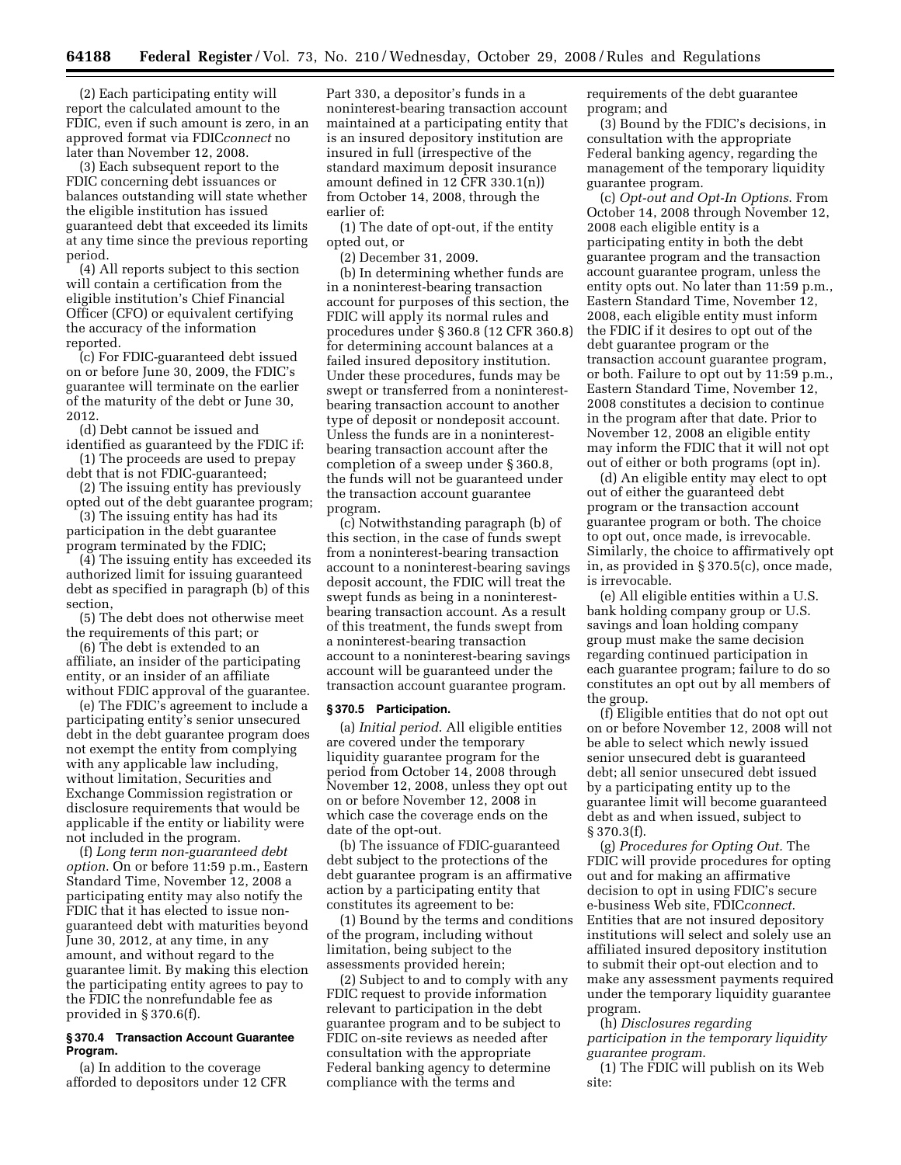(2) Each participating entity will report the calculated amount to the FDIC, even if such amount is zero, in an approved format via FDIC*connect* no later than November 12, 2008.

(3) Each subsequent report to the FDIC concerning debt issuances or balances outstanding will state whether the eligible institution has issued guaranteed debt that exceeded its limits at any time since the previous reporting period.

(4) All reports subject to this section will contain a certification from the eligible institution's Chief Financial Officer (CFO) or equivalent certifying the accuracy of the information reported.

(c) For FDIC-guaranteed debt issued on or before June 30, 2009, the FDIC's guarantee will terminate on the earlier of the maturity of the debt or June 30, 2012.

(d) Debt cannot be issued and identified as guaranteed by the FDIC if:

(1) The proceeds are used to prepay debt that is not FDIC-guaranteed;

(2) The issuing entity has previously opted out of the debt guarantee program;

(3) The issuing entity has had its participation in the debt guarantee

program terminated by the FDIC; (4) The issuing entity has exceeded its authorized limit for issuing guaranteed debt as specified in paragraph (b) of this section,

(5) The debt does not otherwise meet the requirements of this part; or

(6) The debt is extended to an affiliate, an insider of the participating entity, or an insider of an affiliate without FDIC approval of the guarantee.

(e) The FDIC's agreement to include a participating entity's senior unsecured debt in the debt guarantee program does not exempt the entity from complying with any applicable law including, without limitation, Securities and Exchange Commission registration or disclosure requirements that would be applicable if the entity or liability were not included in the program.

(f) *Long term non-guaranteed debt option*. On or before 11:59 p.m., Eastern Standard Time, November 12, 2008 a participating entity may also notify the FDIC that it has elected to issue nonguaranteed debt with maturities beyond June 30, 2012, at any time, in any amount, and without regard to the guarantee limit. By making this election the participating entity agrees to pay to the FDIC the nonrefundable fee as provided in § 370.6(f).

#### **§ 370.4 Transaction Account Guarantee Program.**

(a) In addition to the coverage afforded to depositors under 12 CFR

Part 330, a depositor's funds in a noninterest-bearing transaction account maintained at a participating entity that is an insured depository institution are insured in full (irrespective of the standard maximum deposit insurance amount defined in 12 CFR 330.1(n)) from October 14, 2008, through the earlier of:

(1) The date of opt-out, if the entity opted out, or

(2) December 31, 2009.

(b) In determining whether funds are in a noninterest-bearing transaction account for purposes of this section, the FDIC will apply its normal rules and procedures under § 360.8 (12 CFR 360.8) for determining account balances at a failed insured depository institution. Under these procedures, funds may be swept or transferred from a noninterestbearing transaction account to another type of deposit or nondeposit account. Unless the funds are in a noninterestbearing transaction account after the completion of a sweep under § 360.8, the funds will not be guaranteed under the transaction account guarantee program.

(c) Notwithstanding paragraph (b) of this section, in the case of funds swept from a noninterest-bearing transaction account to a noninterest-bearing savings deposit account, the FDIC will treat the swept funds as being in a noninterestbearing transaction account. As a result of this treatment, the funds swept from a noninterest-bearing transaction account to a noninterest-bearing savings account will be guaranteed under the transaction account guarantee program.

#### **§ 370.5 Participation.**

(a) *Initial period*. All eligible entities are covered under the temporary liquidity guarantee program for the period from October 14, 2008 through November 12, 2008, unless they opt out on or before November 12, 2008 in which case the coverage ends on the date of the opt-out.

(b) The issuance of FDIC-guaranteed debt subject to the protections of the debt guarantee program is an affirmative action by a participating entity that constitutes its agreement to be:

(1) Bound by the terms and conditions of the program, including without limitation, being subject to the assessments provided herein;

(2) Subject to and to comply with any FDIC request to provide information relevant to participation in the debt guarantee program and to be subject to FDIC on-site reviews as needed after consultation with the appropriate Federal banking agency to determine compliance with the terms and

requirements of the debt guarantee program; and

(3) Bound by the FDIC's decisions, in consultation with the appropriate Federal banking agency, regarding the management of the temporary liquidity guarantee program.

(c) *Opt-out and Opt-In Options*. From October 14, 2008 through November 12, 2008 each eligible entity is a participating entity in both the debt guarantee program and the transaction account guarantee program, unless the entity opts out. No later than 11:59 p.m., Eastern Standard Time, November 12, 2008, each eligible entity must inform the FDIC if it desires to opt out of the debt guarantee program or the transaction account guarantee program, or both. Failure to opt out by 11:59 p.m., Eastern Standard Time, November 12, 2008 constitutes a decision to continue in the program after that date. Prior to November 12, 2008 an eligible entity may inform the FDIC that it will not opt out of either or both programs (opt in).

(d) An eligible entity may elect to opt out of either the guaranteed debt program or the transaction account guarantee program or both. The choice to opt out, once made, is irrevocable. Similarly, the choice to affirmatively opt in, as provided in § 370.5(c), once made, is irrevocable.

(e) All eligible entities within a U.S. bank holding company group or U.S. savings and loan holding company group must make the same decision regarding continued participation in each guarantee program; failure to do so constitutes an opt out by all members of the group.

(f) Eligible entities that do not opt out on or before November 12, 2008 will not be able to select which newly issued senior unsecured debt is guaranteed debt; all senior unsecured debt issued by a participating entity up to the guarantee limit will become guaranteed debt as and when issued, subject to § 370.3(f).

(g) *Procedures for Opting Out.* The FDIC will provide procedures for opting out and for making an affirmative decision to opt in using FDIC's secure e-business Web site, FDIC*connect*. Entities that are not insured depository institutions will select and solely use an affiliated insured depository institution to submit their opt-out election and to make any assessment payments required under the temporary liquidity guarantee program.

(h) *Disclosures regarding participation in the temporary liquidity guarantee program*.

(1) The FDIC will publish on its Web site: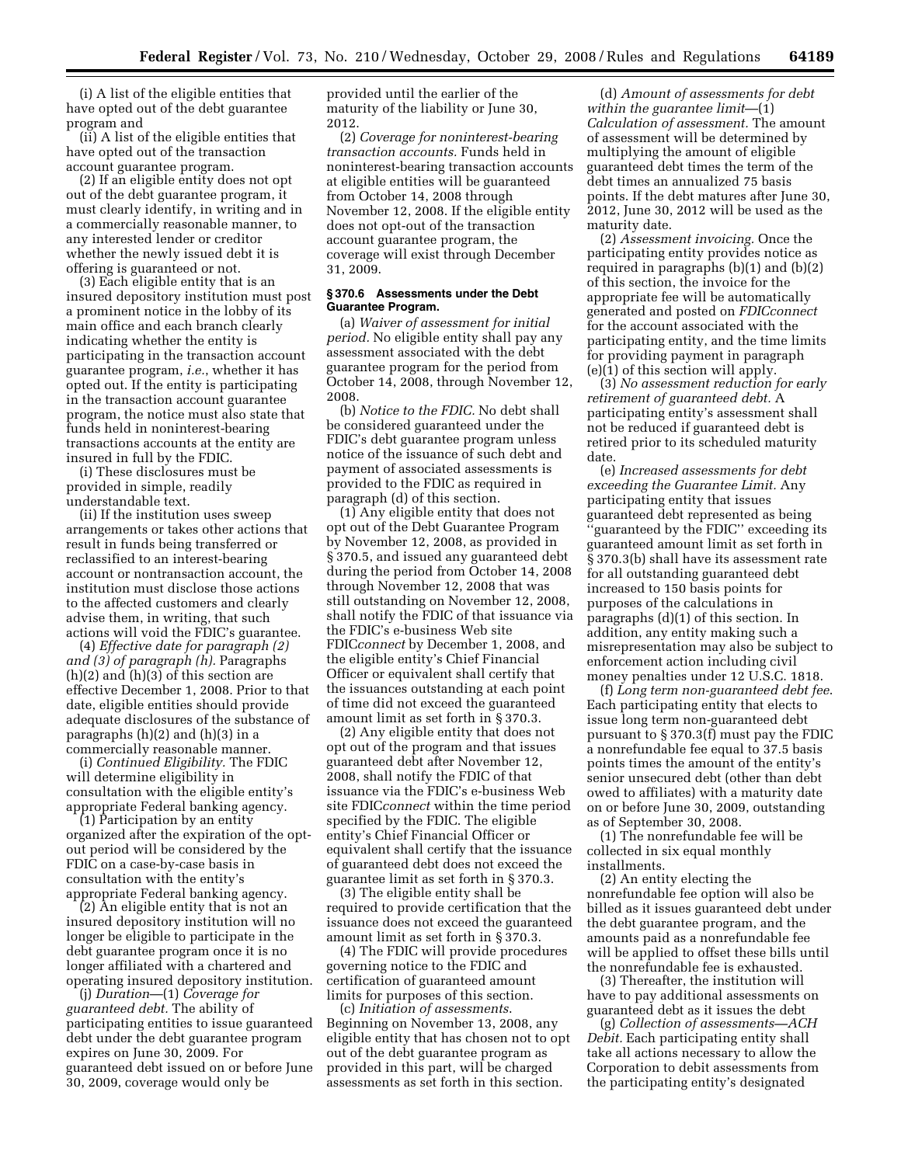(i) A list of the eligible entities that have opted out of the debt guarantee program and

(ii) A list of the eligible entities that have opted out of the transaction account guarantee program.

(2) If an eligible entity does not opt out of the debt guarantee program, it must clearly identify, in writing and in a commercially reasonable manner, to any interested lender or creditor whether the newly issued debt it is offering is guaranteed or not.

(3) Each eligible entity that is an insured depository institution must post a prominent notice in the lobby of its main office and each branch clearly indicating whether the entity is participating in the transaction account guarantee program, *i.e.*, whether it has opted out. If the entity is participating in the transaction account guarantee program, the notice must also state that funds held in noninterest-bearing transactions accounts at the entity are insured in full by the FDIC.

(i) These disclosures must be provided in simple, readily understandable text.

(ii) If the institution uses sweep arrangements or takes other actions that result in funds being transferred or reclassified to an interest-bearing account or nontransaction account, the institution must disclose those actions to the affected customers and clearly advise them, in writing, that such actions will void the FDIC's guarantee.

(4) *Effective date for paragraph (2) and (3) of paragraph (h).* Paragraphs  $(h)(2)$  and  $(h)(3)$  of this section are effective December 1, 2008. Prior to that date, eligible entities should provide adequate disclosures of the substance of paragraphs (h)(2) and (h)(3) in a commercially reasonable manner.

(i) *Continued Eligibility.* The FDIC will determine eligibility in consultation with the eligible entity's appropriate Federal banking agency.

(1) Participation by an entity organized after the expiration of the optout period will be considered by the FDIC on a case-by-case basis in consultation with the entity's appropriate Federal banking agency.

(2) An eligible entity that is not an insured depository institution will no longer be eligible to participate in the debt guarantee program once it is no longer affiliated with a chartered and operating insured depository institution.

(j) *Duration*—(1) *Coverage for guaranteed debt.* The ability of participating entities to issue guaranteed debt under the debt guarantee program expires on June 30, 2009. For guaranteed debt issued on or before June 30, 2009, coverage would only be

provided until the earlier of the maturity of the liability or June 30, 2012.

(2) *Coverage for noninterest-bearing transaction accounts.* Funds held in noninterest-bearing transaction accounts at eligible entities will be guaranteed from October 14, 2008 through November 12, 2008. If the eligible entity does not opt-out of the transaction account guarantee program, the coverage will exist through December 31, 2009.

#### **§ 370.6 Assessments under the Debt Guarantee Program.**

(a) *Waiver of assessment for initial period.* No eligible entity shall pay any assessment associated with the debt guarantee program for the period from October 14, 2008, through November 12, 2008.

(b) *Notice to the FDIC.* No debt shall be considered guaranteed under the FDIC's debt guarantee program unless notice of the issuance of such debt and payment of associated assessments is provided to the FDIC as required in paragraph (d) of this section.

(1) Any eligible entity that does not opt out of the Debt Guarantee Program by November 12, 2008, as provided in § 370.5, and issued any guaranteed debt during the period from October 14, 2008 through November 12, 2008 that was still outstanding on November 12, 2008, shall notify the FDIC of that issuance via the FDIC's e-business Web site FDIC*connect* by December 1, 2008, and the eligible entity's Chief Financial Officer or equivalent shall certify that the issuances outstanding at each point of time did not exceed the guaranteed amount limit as set forth in § 370.3.

(2) Any eligible entity that does not opt out of the program and that issues guaranteed debt after November 12, 2008, shall notify the FDIC of that issuance via the FDIC's e-business Web site FDIC*connect* within the time period specified by the FDIC. The eligible entity's Chief Financial Officer or equivalent shall certify that the issuance of guaranteed debt does not exceed the guarantee limit as set forth in § 370.3.

(3) The eligible entity shall be required to provide certification that the issuance does not exceed the guaranteed amount limit as set forth in § 370.3.

(4) The FDIC will provide procedures governing notice to the FDIC and certification of guaranteed amount limits for purposes of this section.

(c) *Initiation of assessments*. Beginning on November 13, 2008, any eligible entity that has chosen not to opt out of the debt guarantee program as provided in this part, will be charged assessments as set forth in this section.

(d) *Amount of assessments for debt within the guarantee limit*—(1) *Calculation of assessment.* The amount of assessment will be determined by multiplying the amount of eligible guaranteed debt times the term of the debt times an annualized 75 basis points. If the debt matures after June 30, 2012, June 30, 2012 will be used as the maturity date.

(2) *Assessment invoicing.* Once the participating entity provides notice as required in paragraphs (b)(1) and (b)(2) of this section, the invoice for the appropriate fee will be automatically generated and posted on *FDICconnect*  for the account associated with the participating entity, and the time limits for providing payment in paragraph  $(e)(1)$  of this section will apply.

(3) *No assessment reduction for early retirement of guaranteed debt.* A participating entity's assessment shall not be reduced if guaranteed debt is retired prior to its scheduled maturity date.

(e) *Increased assessments for debt exceeding the Guarantee Limit.* Any participating entity that issues guaranteed debt represented as being 'guaranteed by the FDIC'' exceeding its guaranteed amount limit as set forth in § 370.3(b) shall have its assessment rate for all outstanding guaranteed debt increased to 150 basis points for purposes of the calculations in paragraphs (d)(1) of this section. In addition, any entity making such a misrepresentation may also be subject to enforcement action including civil money penalties under 12 U.S.C. 1818.

(f) *Long term non-guaranteed debt fee*. Each participating entity that elects to issue long term non-guaranteed debt pursuant to § 370.3(f) must pay the FDIC a nonrefundable fee equal to 37.5 basis points times the amount of the entity's senior unsecured debt (other than debt owed to affiliates) with a maturity date on or before June 30, 2009, outstanding as of September 30, 2008.

(1) The nonrefundable fee will be collected in six equal monthly installments.

(2) An entity electing the nonrefundable fee option will also be billed as it issues guaranteed debt under the debt guarantee program, and the amounts paid as a nonrefundable fee will be applied to offset these bills until the nonrefundable fee is exhausted.

(3) Thereafter, the institution will have to pay additional assessments on guaranteed debt as it issues the debt

(g) *Collection of assessments—ACH Debit.* Each participating entity shall take all actions necessary to allow the Corporation to debit assessments from the participating entity's designated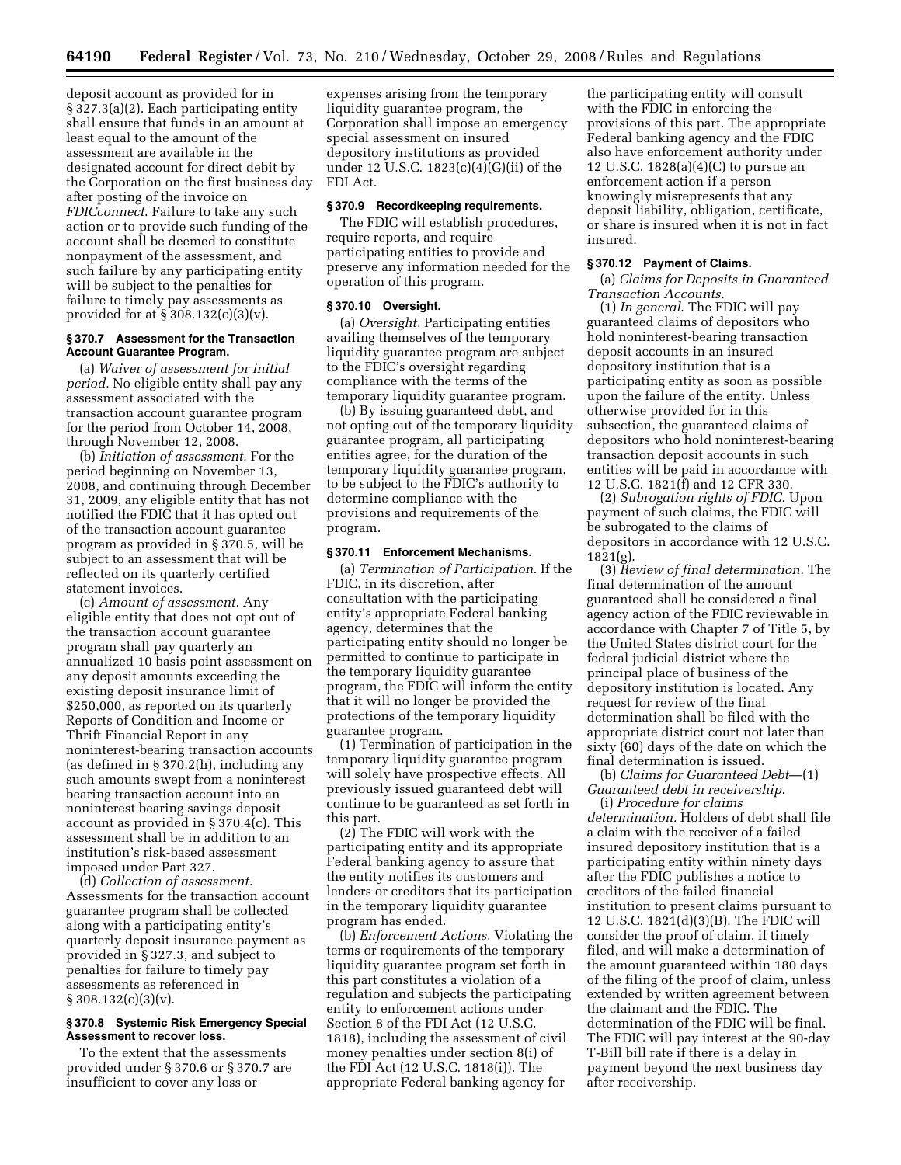deposit account as provided for in § 327.3(a)(2). Each participating entity shall ensure that funds in an amount at least equal to the amount of the assessment are available in the designated account for direct debit by the Corporation on the first business day after posting of the invoice on *FDICconnect*. Failure to take any such action or to provide such funding of the account shall be deemed to constitute nonpayment of the assessment, and such failure by any participating entity will be subject to the penalties for failure to timely pay assessments as provided for at  $\S 308.132(c)(3)(v)$ .

#### **§ 370.7 Assessment for the Transaction Account Guarantee Program.**

(a) *Waiver of assessment for initial period.* No eligible entity shall pay any assessment associated with the transaction account guarantee program for the period from October 14, 2008, through November 12, 2008.

(b) *Initiation of assessment.* For the period beginning on November 13, 2008, and continuing through December 31, 2009, any eligible entity that has not notified the FDIC that it has opted out of the transaction account guarantee program as provided in § 370.5, will be subject to an assessment that will be reflected on its quarterly certified statement invoices.

(c) *Amount of assessment.* Any eligible entity that does not opt out of the transaction account guarantee program shall pay quarterly an annualized 10 basis point assessment on any deposit amounts exceeding the existing deposit insurance limit of \$250,000, as reported on its quarterly Reports of Condition and Income or Thrift Financial Report in any noninterest-bearing transaction accounts (as defined in § 370.2(h), including any such amounts swept from a noninterest bearing transaction account into an noninterest bearing savings deposit account as provided in § 370.4(c). This assessment shall be in addition to an institution's risk-based assessment imposed under Part 327.

(d) *Collection of assessment.*  Assessments for the transaction account guarantee program shall be collected along with a participating entity's quarterly deposit insurance payment as provided in § 327.3, and subject to penalties for failure to timely pay assessments as referenced in  $§ 308.132(c)(3)(v).$ 

#### **§ 370.8 Systemic Risk Emergency Special Assessment to recover loss.**

To the extent that the assessments provided under § 370.6 or § 370.7 are insufficient to cover any loss or

expenses arising from the temporary liquidity guarantee program, the Corporation shall impose an emergency special assessment on insured depository institutions as provided under 12 U.S.C. 1823 $(c)(4)(G)(ii)$  of the FDI Act.

#### **§ 370.9 Recordkeeping requirements.**

The FDIC will establish procedures, require reports, and require participating entities to provide and preserve any information needed for the operation of this program.

#### **§ 370.10 Oversight.**

(a) *Oversight.* Participating entities availing themselves of the temporary liquidity guarantee program are subject to the FDIC's oversight regarding compliance with the terms of the temporary liquidity guarantee program.

(b) By issuing guaranteed debt, and not opting out of the temporary liquidity guarantee program, all participating entities agree, for the duration of the temporary liquidity guarantee program, to be subject to the FDIC's authority to determine compliance with the provisions and requirements of the program.

#### **§ 370.11 Enforcement Mechanisms.**

(a) *Termination of Participation.* If the FDIC, in its discretion, after consultation with the participating entity's appropriate Federal banking agency, determines that the participating entity should no longer be permitted to continue to participate in the temporary liquidity guarantee program, the FDIC will inform the entity that it will no longer be provided the protections of the temporary liquidity guarantee program.

(1) Termination of participation in the temporary liquidity guarantee program will solely have prospective effects. All previously issued guaranteed debt will continue to be guaranteed as set forth in this part.

(2) The FDIC will work with the participating entity and its appropriate Federal banking agency to assure that the entity notifies its customers and lenders or creditors that its participation in the temporary liquidity guarantee program has ended.

(b) *Enforcement Actions*. Violating the terms or requirements of the temporary liquidity guarantee program set forth in this part constitutes a violation of a regulation and subjects the participating entity to enforcement actions under Section 8 of the FDI Act (12 U.S.C. 1818), including the assessment of civil money penalties under section 8(i) of the FDI Act (12 U.S.C. 1818(i)). The appropriate Federal banking agency for

the participating entity will consult with the FDIC in enforcing the provisions of this part. The appropriate Federal banking agency and the FDIC also have enforcement authority under 12 U.S.C. 1828(a)(4)(C) to pursue an enforcement action if a person knowingly misrepresents that any deposit liability, obligation, certificate, or share is insured when it is not in fact insured.

#### **§ 370.12 Payment of Claims.**

(a) *Claims for Deposits in Guaranteed Transaction Accounts*.

(1) *In general*. The FDIC will pay guaranteed claims of depositors who hold noninterest-bearing transaction deposit accounts in an insured depository institution that is a participating entity as soon as possible upon the failure of the entity. Unless otherwise provided for in this subsection, the guaranteed claims of depositors who hold noninterest-bearing transaction deposit accounts in such entities will be paid in accordance with 12 U.S.C. 1821(f) and 12 CFR 330.

(2) *Subrogation rights of FDIC.* Upon payment of such claims, the FDIC will be subrogated to the claims of depositors in accordance with 12 U.S.C. 1821(g).

(3) *Review of final determination.* The final determination of the amount guaranteed shall be considered a final agency action of the FDIC reviewable in accordance with Chapter 7 of Title 5, by the United States district court for the federal judicial district where the principal place of business of the depository institution is located. Any request for review of the final determination shall be filed with the appropriate district court not later than sixty (60) days of the date on which the final determination is issued.

(b) *Claims for Guaranteed Debt*—(1) *Guaranteed debt in receivership*.

(i) *Procedure for claims determination.* Holders of debt shall file a claim with the receiver of a failed insured depository institution that is a participating entity within ninety days after the FDIC publishes a notice to creditors of the failed financial institution to present claims pursuant to 12 U.S.C. 1821(d)(3)(B). The FDIC will consider the proof of claim, if timely filed, and will make a determination of the amount guaranteed within 180 days of the filing of the proof of claim, unless extended by written agreement between the claimant and the FDIC. The determination of the FDIC will be final. The FDIC will pay interest at the 90-day T-Bill bill rate if there is a delay in payment beyond the next business day after receivership.